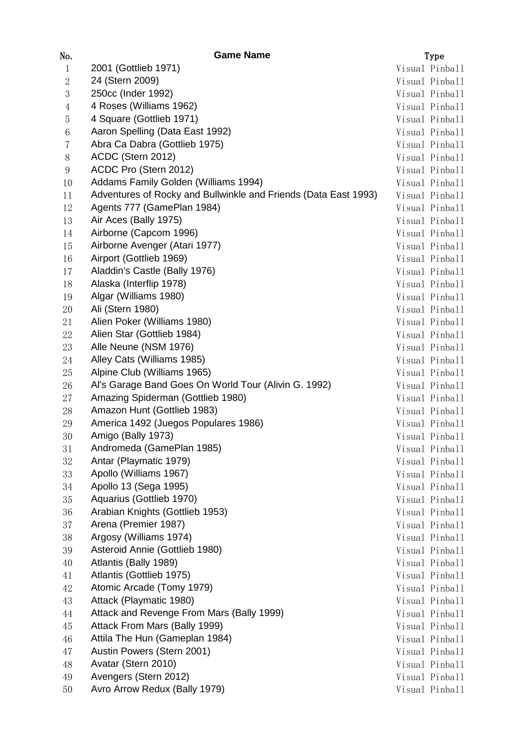| No.            | <b>Game Name</b>                                                | Type           |
|----------------|-----------------------------------------------------------------|----------------|
| $\mathbf{1}$   | 2001 (Gottlieb 1971)                                            | Visual Pinball |
| $\sqrt{2}$     | 24 (Stern 2009)                                                 | Visual Pinball |
| $\sqrt{3}$     | 250cc (Inder 1992)                                              | Visual Pinball |
| $\overline{4}$ | 4 Roses (Williams 1962)                                         | Visual Pinball |
| $\overline{5}$ | 4 Square (Gottlieb 1971)                                        | Visual Pinball |
| 6              | Aaron Spelling (Data East 1992)                                 | Visual Pinball |
| 7              | Abra Ca Dabra (Gottlieb 1975)                                   | Visual Pinball |
| 8              | ACDC (Stern 2012)                                               | Visual Pinball |
| 9              | ACDC Pro (Stern 2012)                                           | Visual Pinball |
| 10             | Addams Family Golden (Williams 1994)                            | Visual Pinball |
| 11             | Adventures of Rocky and Bullwinkle and Friends (Data East 1993) | Visual Pinball |
| 12             | Agents 777 (GamePlan 1984)                                      | Visual Pinball |
| 13             | Air Aces (Bally 1975)                                           | Visual Pinball |
| 14             | Airborne (Capcom 1996)                                          | Visual Pinball |
| 15             | Airborne Avenger (Atari 1977)                                   | Visual Pinball |
| 16             | Airport (Gottlieb 1969)                                         | Visual Pinball |
| 17             | Aladdin's Castle (Bally 1976)                                   | Visual Pinball |
| 18             | Alaska (Interflip 1978)                                         | Visual Pinball |
| 19             | Algar (Williams 1980)                                           | Visual Pinball |
| 20             | Ali (Stern 1980)                                                | Visual Pinball |
| 21             | Alien Poker (Williams 1980)                                     | Visual Pinball |
| 22             | Alien Star (Gottlieb 1984)                                      | Visual Pinball |
| 23             | Alle Neune (NSM 1976)                                           | Visual Pinball |
| 24             | Alley Cats (Williams 1985)                                      | Visual Pinball |
| 25             | Alpine Club (Williams 1965)                                     |                |
|                | Al's Garage Band Goes On World Tour (Alivin G. 1992)            | Visual Pinball |
| 26             |                                                                 | Visual Pinball |
| 27             | Amazing Spiderman (Gottlieb 1980)                               | Visual Pinball |
| 28             | Amazon Hunt (Gottlieb 1983)                                     | Visual Pinball |
| 29             | America 1492 (Juegos Populares 1986)                            | Visual Pinball |
| 30             | Amigo (Bally 1973)                                              | Visual Pinball |
| 31             | Andromeda (GamePlan 1985)                                       | Visual Pinball |
| 32             | Antar (Playmatic 1979)                                          | Visual Pinball |
| 33             | Apollo (Williams 1967)                                          | Visual Pinball |
| 34             | Apollo 13 (Sega 1995)                                           | Visual Pinball |
| 35             | Aquarius (Gottlieb 1970)                                        | Visual Pinball |
| 36             | Arabian Knights (Gottlieb 1953)                                 | Visual Pinball |
| 37             | Arena (Premier 1987)                                            | Visual Pinball |
| 38             | Argosy (Williams 1974)                                          | Visual Pinball |
| 39             | Asteroid Annie (Gottlieb 1980)                                  | Visual Pinball |
| 40             | Atlantis (Bally 1989)                                           | Visual Pinball |
| 41             | Atlantis (Gottlieb 1975)                                        | Visual Pinball |
| 42             | Atomic Arcade (Tomy 1979)                                       | Visual Pinball |
| 43             | Attack (Playmatic 1980)                                         | Visual Pinball |
| 44             | Attack and Revenge From Mars (Bally 1999)                       | Visual Pinball |
| 45             | Attack From Mars (Bally 1999)                                   | Visual Pinball |
| 46             | Attila The Hun (Gameplan 1984)                                  | Visual Pinball |
| 47             | Austin Powers (Stern 2001)                                      | Visual Pinball |
| 48             | Avatar (Stern 2010)                                             | Visual Pinball |
| 49             | Avengers (Stern 2012)                                           | Visual Pinball |
| 50             | Avro Arrow Redux (Bally 1979)                                   | Visual Pinball |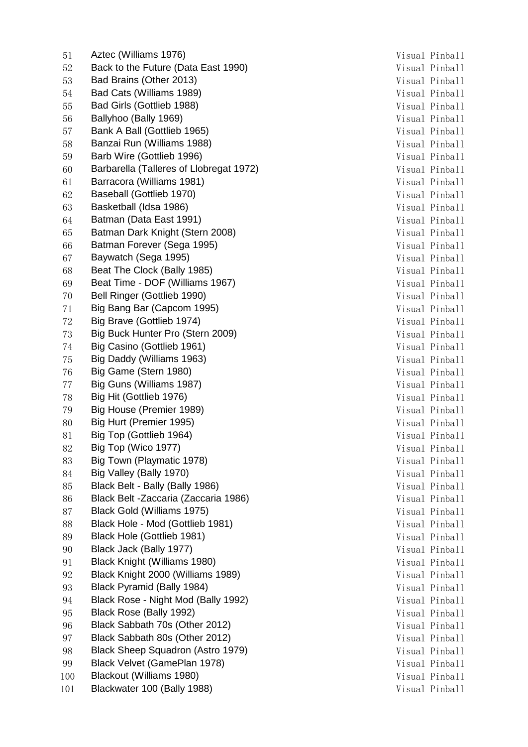51 Aztec (Williams 1976) 31 Aztec (Williams 1976) 52 Back to the Future (Data East 1990) Solution Contract Musual Pinball Pinball 53 Bad Brains (Other 2013) Visual Pinball 54 Bad Cats (Williams 1989) 34 September 2016 1989 Nisual Pinball 55 Bad Girls (Gottlieb 1988) 35 Bad Girls (Gottlieb 1988) 56 Ballyhoo (Bally 1969) 36 September 2016 1969 Nisual Pinball 57 Bank A Ball (Gottlieb 1965) 37 Nisual Pinball 58 Banzai Run (Williams 1988) Visual Pinball 59 Barb Wire (Gottlieb 1996) Visual Pinball 60 Barbarella (Talleres of Llobregat 1972) Visual Pinball 61 Barracora (Williams 1981) Visual Pinball 62 Baseball (Gottlieb 1970) 88 and 1970 11 and 1970 11 and 1970 11 and 1970 11 and 1970 11 and 1970 11 and 1970 11 and 1970 11 and 1970 11 and 1970 11 and 1970 11 and 1970 11 and 1970 11 and 1970 11 and 1970 11 and 1970 11 63 Basketball (Idsa 1986) 63 Basketball (Idsa 1986) 64 Batman (Data East 1991) Suite of the State of the Visual Pinball Visual Pinball 65 Batman Dark Knight (Stern 2008) Visual Pinball 66 Batman Forever (Sega 1995) Visual Pinball 67 Baywatch (Sega 1995) Visual Pinball 68 Beat The Clock (Bally 1985) 68 Visual Pinball 69 Beat Time - DOF (Williams 1967) Visual Pinball 70 Bell Ringer (Gottlieb 1990) **Visual Pinball** 71 Big Bang Bar (Capcom 1995) Visual Pinball 72 Big Brave (Gottlieb 1974) Visual Pinball 73 Big Buck Hunter Pro (Stern 2009) Visual Pinball 74 Big Casino (Gottlieb 1961) Communication of the Visual Pinball Visual Pinball 75 Big Daddy (Williams 1963) Visual Pinball 76 Big Game (Stern 1980) 76 Nisual Pinball 77 Big Guns (Williams 1987) 87 (Visual Pinball Visual Pinball 78 Big Hit (Gottlieb 1976) 78 Visual Pinball 79 Big House (Premier 1989) **Visual Pinball** 80 Big Hurt (Premier 1995) 80 Nisual Pinball 81 Big Top (Gottlieb 1964) Visual Pinball 82 Big Top (Wico 1977) 82 Big Top (Wico 1977) 83 Big Town (Playmatic 1978) 83 Big Town (Playmatic 1978) 84 Big Valley (Bally 1970) 84 Big Valley (Bally 1970) 85 Black Belt - Bally (Bally 1986) 35 Nisual Pinball 86 Black Belt -Zaccaria (Zaccaria 1986) Visual Pinball 87 Black Gold (Williams 1975) Sunner Mathematic Month (Visual Pinball Pinball 88 Black Hole - Mod (Gottlieb 1981) Visual Pinball 89 Black Hole (Gottlieb 1981) 39 Visual Pinball 90 Black Jack (Bally 1977) 30 and 50 and 50 and 51 and 51 and 51 and 51 and 51 and 51 and 51 and 51 and 51 and 51 and 51 and 51 and 51 and 51 and 51 and 51 and 51 and 51 and 51 and 51 and 51 and 51 and 51 and 51 and 51 and 91 Black Knight (Williams 1980) Visual Pinball 92 Black Knight 2000 (Williams 1989) Visual Pinball 93 Black Pyramid (Bally 1984) 38 Visual Pinball 94 Black Rose - Night Mod (Bally 1992) Visual Pinball 95 Black Rose (Bally 1992) 35 Black Rose (Bally 1992) 96 Black Sabbath 70s (Other 2012) Visual Pinball 97 Black Sabbath 80s (Other 2012) Visual Pinball 98 Black Sheep Squadron (Astro 1979) Visual Pinball 99 Black Velvet (GamePlan 1978) 99 Black Velvet (GamePlan 1978) 100 Blackout (Williams 1980) Visual Pinball 101 Blackwater 100 (Bally 1988) 31 Metatr 2008 101 Metatr 2018 Visual Pinball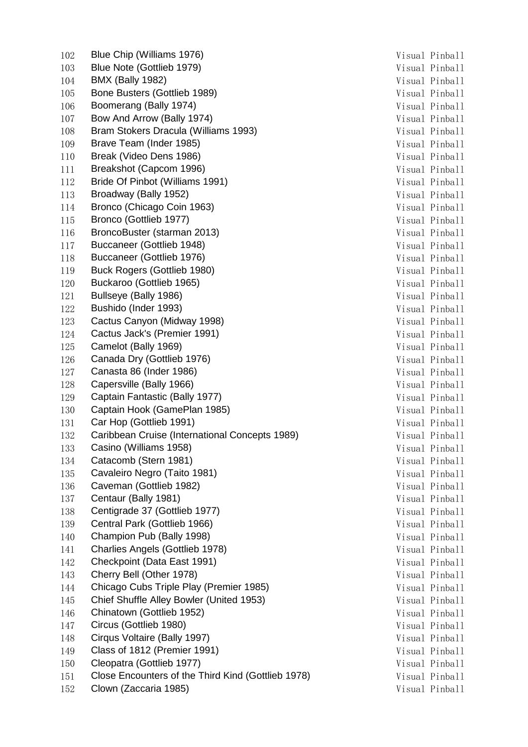102 Blue Chip (Williams 1976) 31 102 Blue Chip (Williams 1976) 103 Blue Note (Gottlieb 1979) **Visual Pinball** 104 BMX (Bally 1982) **BMX** (Bally 1982) 105 Bone Busters (Gottlieb 1989) Visual Pinball 106 Boomerang (Bally 1974) 31 Metatra 106 Nisual Pinball 107 Bow And Arrow (Bally 1974) 31 12 20 12:31 2014 107 Nisual Pinball 108 Bram Stokers Dracula (Williams 1993) Visual Pinball 109 Brave Team (Inder 1985) Visual Pinball 110 Break (Video Dens 1986) Visual Pinball 111 Breakshot (Capcom 1996) **Visual Pinball** 112 Bride Of Pinbot (Williams 1991) Visual Pinball 113 Broadway (Bally 1952) Visual Pinball 114 Bronco (Chicago Coin 1963) Visual Pinball 115 Bronco (Gottlieb 1977) 2012 115 Nisual Pinball 116 BroncoBuster (starman 2013) Visual Pinball 117 Buccaneer (Gottlieb 1948) Visual Pinball 118 Buccaneer (Gottlieb 1976) 31 Contract Contract Manual Pinball Pinball Pinball 119 Buck Rogers (Gottlieb 1980) Visual Pinball 120 Buckaroo (Gottlieb 1965) 31 March 2014 120 Visual Pinball 121 Bullseye (Bally 1986) 31 November 2014 121 November 2014 121 122 Bushido (Inder 1993) Visual Pinball 123 Cactus Canyon (Midway 1998) Visual Pinball 124 Cactus Jack's (Premier 1991) Visual Pinball 125 Camelot (Bally 1969) Visual Pinball 126 Canada Dry (Gottlieb 1976) 31 November 2016 1976 126 Nisual Pinball 127 Canasta 86 (Inder 1986) Santa Canasta 86 (Inder 1986) 128 Capersville (Bally 1966) Visual Pinball 129 Captain Fantastic (Bally 1977) Visual Pinball 130 Captain Hook (GamePlan 1985) Visual Pinball 131 Car Hop (Gottlieb 1991) Visual Pinball 132 Caribbean Cruise (International Concepts 1989) Visual Pinball 133 Casino (Williams 1958) Visual Pinball 134 Catacomb (Stern 1981) 7134 Catacomb (Stern 1981) 135 Cavaleiro Negro (Taito 1981) **Visual Pinball** 136 Caveman (Gottlieb 1982) **Caveman (Gottlieb 1982**) **Visual Pinball** 137 Centaur (Bally 1981) Visual Pinball 138 Centigrade 37 (Gottlieb 1977) Visual Pinball 139 Central Park (Gottlieb 1966) Visual Pinball 140 Champion Pub (Bally 1998) **Visual Pinball** 141 Charlies Angels (Gottlieb 1978) Visual Pinball 142 Checkpoint (Data East 1991) Visual Pinball 143 Cherry Bell (Other 1978) Cherry Bell (Other 1978) 144 Chicago Cubs Triple Play (Premier 1985) Visual Pinball 145 Chief Shuffle Alley Bowler (United 1953) Visual Pinball 146 Chinatown (Gottlieb 1952) **Visual Pinball** 147 Circus (Gottlieb 1980) **Visual Pinball** 148 Cirqus Voltaire (Bally 1997) Visual Pinball 149 Class of 1812 (Premier 1991) Visual Pinball 150 Cleopatra (Gottlieb 1977) Visual Pinball 151 Close Encounters of the Third Kind (Gottlieb 1978) Visual Pinball 152 Clown (Zaccaria 1985) 313 Metatra 1985 Nisual Pinball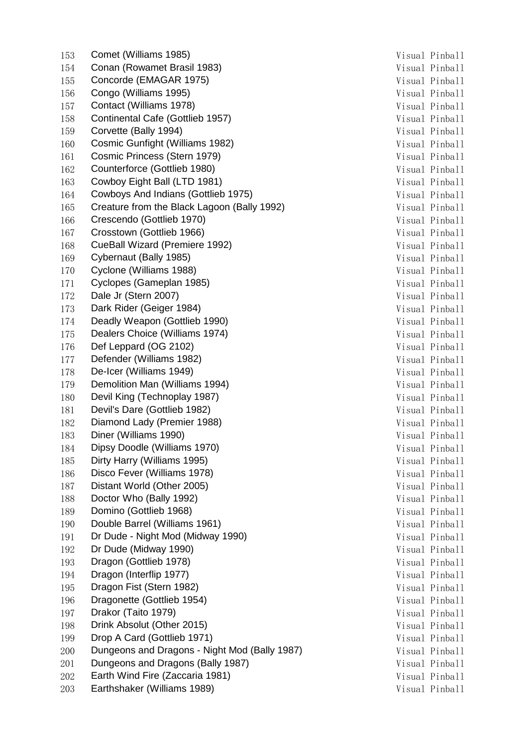153 Comet (Williams 1985) **Comet (Williams 1985)** Visual Pinball 154 Conan (Rowamet Brasil 1983) Visual Pinball 155 Concorde (EMAGAR 1975) 71 and 2012 155 Concorde (EMAGAR 1975) 156 Congo (Williams 1995) 31 November 2014 156 Nisual Pinball 157 Contact (Williams 1978) **Contact (Williams 1978)** Visual Pinball 158 Continental Cafe (Gottlieb 1957) Visual Pinball 159 Corvette (Bally 1994) **Corvette (Bally 1994)** Visual Pinball 160 Cosmic Gunfight (Williams 1982) Visual Pinball 161 Cosmic Princess (Stern 1979) Visual Pinball 162 Counterforce (Gottlieb 1980) Visual Pinball 163 Cowboy Eight Ball (LTD 1981) Cowboy Eight Ball (LTD 1981) 164 Cowboys And Indians (Gottlieb 1975) Visual Pinball 165 Creature from the Black Lagoon (Bally 1992) Visual Pinball 166 Crescendo (Gottlieb 1970) Visual Pinball 167 Crosstown (Gottlieb 1966) 31 November 2016 7 November 2016 168 CueBall Wizard (Premiere 1992) Visual Pinball 169 Cybernaut (Bally 1985) Visual Pinball 170 Cyclone (Williams 1988) 312 Visual Pinball 171 Cyclopes (Gameplan 1985) Cyclopes (Gameplan 1985) 172 Dale Jr (Stern 2007) Visual Pinball 173 Dark Rider (Geiger 1984) Visual Pinball 174 Deadly Weapon (Gottlieb 1990) Nisual Pinball 175 Dealers Choice (Williams 1974) Visual Pinball 176 Def Leppard (OG 2102) Visual Pinball 177 Defender (Williams 1982) **Visual Pinball** 178 De-Icer (Williams 1949) **De-Icer (Williams 1949)** Visual Pinball 179 Demolition Man (Williams 1994) Nisual Pinball 180 Devil King (Technoplay 1987) Visual Pinball 181 Devil's Dare (Gottlieb 1982) Visual Pinball 182 Diamond Lady (Premier 1988) Visual Pinball 183 Diner (Williams 1990) Visual Pinball 184 Dipsy Doodle (Williams 1970) Nisual Pinball Pinball 185 Dirty Harry (Williams 1995) **Visual Pinball** 186 **Disco Fever (Williams 1978)** (Visual Pinball Pinball Pinball Pinball Pinball Pinball Pinball Pinball Pinball Pinball Pinball Pinball Pinball Pinball Pinball Pinball Pinball Pinball Pinball Pinball Pinball Pinball Pinb 187 Distant World (Other 2005) Visual Pinball 188 Doctor Who (Bally 1992) Visual Pinball 189 Domino (Gottlieb 1968) 2001 189 Visual Pinball 190 Double Barrel (Williams 1961) 31 November 2016 1908 Visual Pinball 191 Dr Dude - Night Mod (Midway 1990) **Visual Pinball** 192 Dr Dude (Midway 1990) **Visual Pinball** 193 Dragon (Gottlieb 1978) **Visual Pinball** 194 Dragon (Interflip 1977) Sunday of the United States of the Visual Pinball 195 **Dragon Fist (Stern 1982)** (1951) 1951 1962 (1964) Visual Pinball 196 Dragonette (Gottlieb 1954) Visual Pinball 197 Drakor (Taito 1979) Visual Pinball 198 Drink Absolut (Other 2015) Visual Pinball 199 Drop A Card (Gottlieb 1971) Visual Pinball 200 Dungeons and Dragons - Night Mod (Bally 1987) Visual Pinball 201 Dungeons and Dragons (Bally 1987) Visual Pinball 202 Earth Wind Fire (Zaccaria 1981) Nisual Pinball 203 Earthshaker (Williams 1989) **Earthshaker (Williams 1989)** Visual Pinball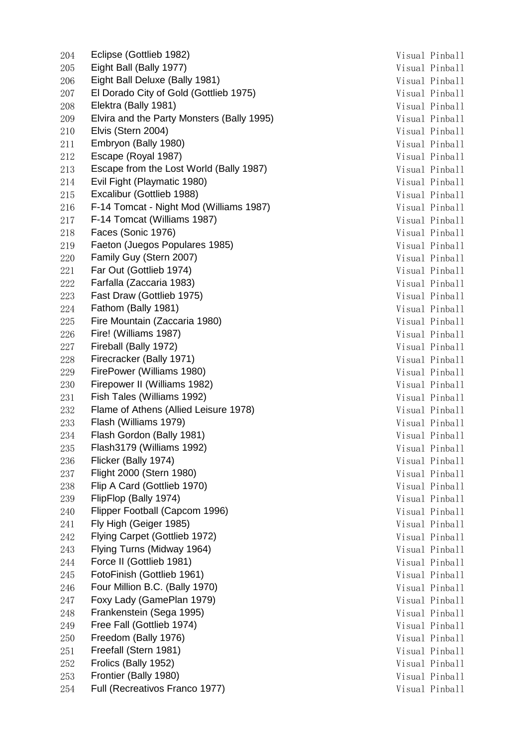204 Eclipse (Gottlieb 1982) 204 Visual Pinball 205 Eight Ball (Bally 1977) **Eight Ball (Bally 1977)** Visual Pinball 206 Eight Ball Deluxe (Bally 1981) 71 and 200 Finball Visual Pinball 207 El Dorado City of Gold (Gottlieb 1975) Visual Pinball 208 Elektra (Bally 1981) 208 Visual Pinball 209 Elvira and the Party Monsters (Bally 1995) 7isual Pinball 210 Elvis (Stern 2004) 210 Visual Pinball 211 Embryon (Bally 1980) Visual Pinball 212 Escape (Royal 1987) Visual Pinball 213 Escape from the Lost World (Bally 1987) Visual Pinball 214 Evil Fight (Playmatic 1980) 214 University of Visual Pinball 215 Excalibur (Gottlieb 1988) Visual Pinball 216 F-14 Tomcat - Night Mod (Williams 1987) Visual Pinball 217 F-14 Tomcat (Williams 1987) Visual Pinball 218 **Faces (Sonic 1976)** 318 Visual Pinball 219 Faeton (Juegos Populares 1985) Maria Laterature et al. visual Pinball 220 Family Guy (Stern 2007) 220 Visual Pinball 221 Far Out (Gottlieb 1974) Sandwich American State of Visual Pinball Visual Pinball 222 Farfalla (Zaccaria 1983) Santa Constantino de la Visual Pinball 223 Fast Draw (Gottlieb 1975) 223 Fast Draw (Gottlieb 1975) 224 Fathom (Bally 1981) Visual Pinball 225 Fire Mountain (Zaccaria 1980) **Visual Pinball** 226 Fire! (Williams 1987) 226 Fire! (Williams 1987) 227 Fireball (Bally 1972) Visual Pinball 228 Firecracker (Bally 1971) 328 Firecracker (Bally 1971) 229 FirePower (Williams 1980) 229 FirePower (Williams 1980) 230 Firepower II (Williams 1982) 230 Visual Pinball 231 Fish Tales (Williams 1992) **Visual Pinball** 232 Flame of Athens (Allied Leisure 1978) Visual Pinball 233 Flash (Williams 1979) Visual Pinball 234 Flash Gordon (Bally 1981) 234 Flash Gordon (Bally 1981) 235 Flash3179 (Williams 1992) 35 Flash3179 (Williams 1992) 236 Flicker (Bally 1974) Visual Pinball 237 Flight 2000 (Stern 1980) 237 Flight 2000 (Stern 1980) 238 Flip A Card (Gottlieb 1970) 238 Flip A Card (Gottlieb 1970) 239 FlipFlop (Bally 1974) Visual Pinball 240 Flipper Football (Capcom 1996) Visual Pinball 241 Fly High (Geiger 1985) 3241 Finball 242 Flying Carpet (Gottlieb 1972) Visual Pinball 243 Flying Turns (Midway 1964) **Visual Pinball** 244 **Force II (Gottlieb 1981)** Visual Pinball 245 FotoFinish (Gottlieb 1961) Visual Pinball 246 **Four Million B.C. (Bally 1970)** 246 **Visual Pinball** 247 **Foxy Lady (GamePlan 1979)** 247 **Visual Pinball** 248 Frankenstein (Sega 1995) Visual Pinball 249 Free Fall (Gottlieb 1974) Visual Pinball 250 Freedom (Bally 1976) 250 Visual Pinball 251 Freefall (Stern 1981) Visual Pinball 252 Frolics (Bally 1952) Visual Pinball 253 **Frontier (Bally 1980)** 253 **Frontier (Bally 1980)** 254 Full (Recreativos Franco 1977) Visual Pinball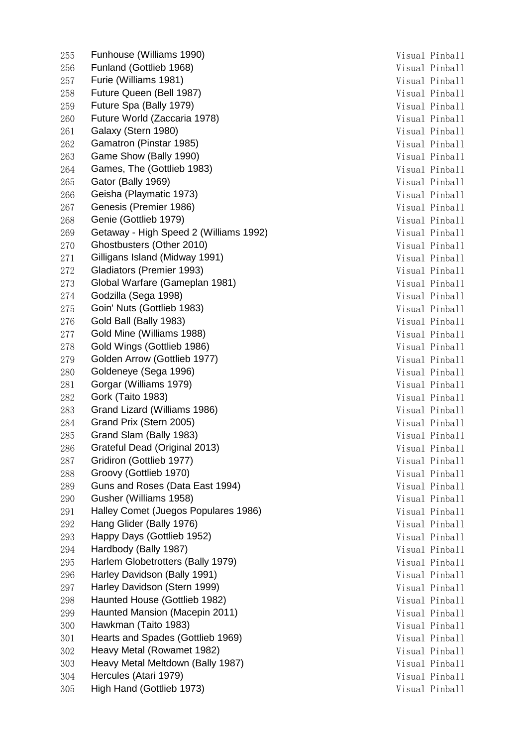255 Funhouse (Williams 1990) **Visual Pinball** 256 Funland (Gottlieb 1968) 3256 Visual Pinball 257 Furie (Williams 1981) 257 Furie (Williams 1981) 258 Future Queen (Bell 1987) **Visual Pinball** 259 Future Spa (Bally 1979) 259 Nisual Pinball 260 Future World (Zaccaria 1978) 32 March 2010 12:30 Visual Pinball 261 Galaxy (Stern 1980) 31 November 2018 11: November 2018 11: Visual Pinball 262 Gamatron (Pinstar 1985) Visual Pinball 263 Game Show (Bally 1990) 263 Visual Pinball 264 Games, The (Gottlieb 1983) Visual Pinball 265 Gator (Bally 1969) Visual Pinball 266 Geisha (Playmatic 1973) 30 Nisual Pinball Visual Pinball 267 Genesis (Premier 1986) Visual Pinball 268 Genie (Gottlieb 1979) Visual Pinball 269 Getaway - High Speed 2 (Williams 1992) Visual Pinball 270 Ghostbusters (Other 2010) 3270 Visual Pinball 271 Gilligans Island (Midway 1991) Contract Contract Contract Misual Pinball Pinball 272 Gladiators (Premier 1993) 322 Visual Pinball 273 Global Warfare (Gameplan 1981) Contract Contract Contract Number of Visual Pinball 274 Godzilla (Sega 1998) 274 Visual Pinball 275 Goin' Nuts (Gottlieb 1983) Visual Pinball 276 Gold Ball (Bally 1983) 3276 Visual Pinball 277 Gold Mine (Williams 1988) 377 Gold Mine (Williams 1988) 278 Gold Wings (Gottlieb 1986) 278 Visual Pinball 279 Golden Arrow (Gottlieb 1977) Visual Pinball 280 Goldeneye (Sega 1996) Visual Pinball 281 Gorgar (Williams 1979) 281 Corgar (Williams 1979) 282 Gork (Taito 1983) 382 Gork (Taito 1983) 283 Grand Lizard (Williams 1986) 388 Visual Pinball 284 Grand Prix (Stern 2005) 284 Grand Pinball 285 Grand Slam (Bally 1983) 285 Visual Pinball 286 Grateful Dead (Original 2013) Visual Pinball 287 Gridiron (Gottlieb 1977) 3287 Visual Pinball 288 Groovy (Gottlieb 1970) 288 Visual Pinball 289 Guns and Roses (Data East 1994) Visual Pinball 290 Gusher (Williams 1958) Visual Pinball 291 Halley Comet (Juegos Populares 1986) Maria Comet Visual Pinball 292 Hang Glider (Bally 1976) 32 November 2022 Nisual Pinball 293 Happy Days (Gottlieb 1952) 293 Visual Pinball 294 Hardbody (Bally 1987) 30 and 2012 12:30 and 2012 12:30 and 2013 295 Harlem Globetrotters (Bally 1979) 71 and 200 Wisual Pinball 296 Harley Davidson (Bally 1991) 296 Visual Pinball 297 Harley Davidson (Stern 1999) 32 and 2012 12:30 Nisual Pinball 298 Haunted House (Gottlieb 1982) Nisual Pinball 299 Haunted Mansion (Macepin 2011) Contract Contract Manual Pinball Visual Pinball 300 Hawkman (Taito 1983) 300 Hawkman (Taito 1983) 301 Hearts and Spades (Gottlieb 1969) Visual Pinball 302 Heavy Metal (Rowamet 1982) 302 Visual Pinball 303 Heavy Metal Meltdown (Bally 1987) Visual Pinball 304 Hercules (Atari 1979) Visual Pinball 305 High Hand (Gottlieb 1973) Visual Pinball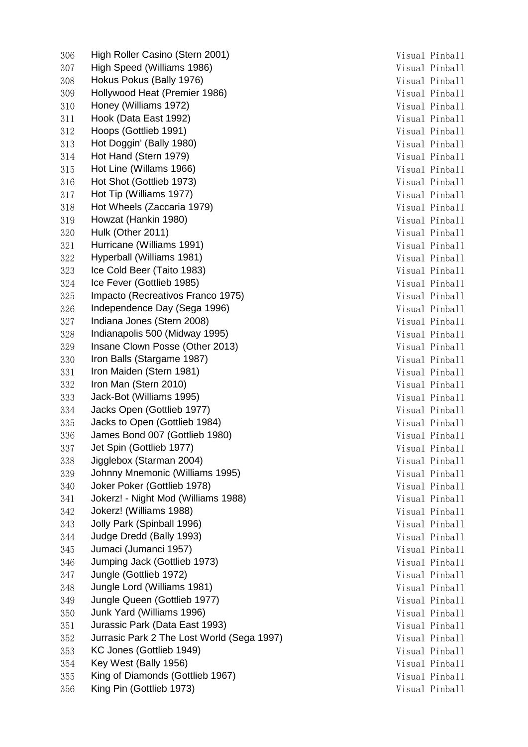306 High Roller Casino (Stern 2001) Visual Pinball 307 High Speed (Williams 1986) Visual Pinball 308 Hokus Pokus (Bally 1976) **Visual Pinball** 309 Hollywood Heat (Premier 1986) 309 Visual Pinball 310 Honey (Williams 1972) 310 Visual Pinball 311 Hook (Data East 1992) 311 Hook (Data East 1992) 312 Hoops (Gottlieb 1991) Visual Pinball 313 Hot Doggin' (Bally 1980) Visual Pinball 314 Hot Hand (Stern 1979) 314 Hot Hand (Stern 1979) 315 Hot Line (Willams 1966) 315 Visual Pinball 316 Hot Shot (Gottlieb 1973) Visual Pinball 317 Hot Tip (Williams 1977) Suite of the Marian State of the Visual Pinball 318 Hot Wheels (Zaccaria 1979) Visual Pinball 319 Howzat (Hankin 1980) 319 Visual Pinball 320 Hulk (Other 2011) 320 Hulk (Other 2011) 321 Hurricane (Williams 1991) Visual Pinball 322 Hyperball (Williams 1981) Visual Pinball 323 Ice Cold Beer (Taito 1983) Visual Pinball 324 Ice Fever (Gottlieb 1985) Visual Pinball 325 Impacto (Recreativos Franco 1975) 7isual Pinball 326 Independence Day (Sega 1996) Manus Contract Contract Musual Pinball 327 Indiana Jones (Stern 2008) 327 Indiana Jones (Stern 2008) 328 Indianapolis 500 (Midway 1995) 328 Indianapolis 500 (Midway 1995) 329 Insane Clown Posse (Other 2013) The United States of the Visual Pinball 330 Iron Balls (Stargame 1987) Visual Pinball 331 Iron Maiden (Stern 1981) 331 Iron Maiden (Stern 1981) 332 Iron Man (Stern 2010) Visual Pinball 333 Jack-Bot (Williams 1995) 333 Jack-Bot (Williams 1995) 334 Jacks Open (Gottlieb 1977) Visual Pinball 335 Jacks to Open (Gottlieb 1984) Visual Pinball 336 James Bond 007 (Gottlieb 1980) Visual Pinball 337 Jet Spin (Gottlieb 1977) Visual Pinball 338 Jigglebox (Starman 2004) 338 Jigglebox (Starman 2004) 339 Johnny Mnemonic (Williams 1995) Visual Pinball 340 Joker Poker (Gottlieb 1978) Visual Pinball 341 Jokerz! - Night Mod (Williams 1988) Visual Pinball 342 Jokerz! (Williams 1988) Visual Pinball 343 **Jolly Park (Spinball 1996)** Visual Pinball 344 Judge Dredd (Bally 1993) **Visual Pinball** 345 Jumaci (Jumanci 1957) Visual Pinball 346 Jumping Jack (Gottlieb 1973) Visual Pinball 347 Jungle (Gottlieb 1972) Visual Pinball 348 Jungle Lord (Williams 1981) 348 Jungle Lord (Williams 1981) 349 Jungle Queen (Gottlieb 1977) Visual Pinball 350 Junk Yard (Williams 1996) Visual Pinball 351 Jurassic Park (Data East 1993) Visual Pinball 352 Jurrasic Park 2 The Lost World (Sega 1997) Visual Pinball 353 KC Jones (Gottlieb 1949) Visual Pinball 354 Key West (Bally 1956) Visual Pinball 355 King of Diamonds (Gottlieb 1967) 355 Visual Pinball 356 King Pin (Gottlieb 1973) Visual Pinball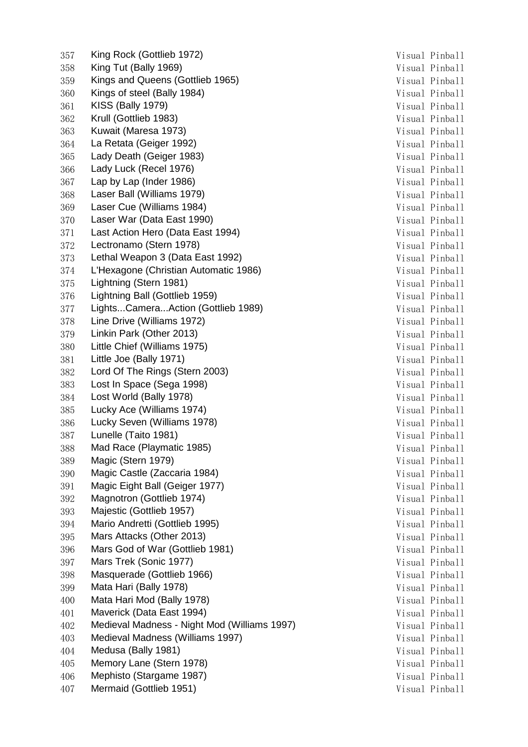357 King Rock (Gottlieb 1972) Visual Pinball 358 King Tut (Bally 1969) 358 King Tut (Bally 1969) 359 Kings and Queens (Gottlieb 1965) 359 Visual Pinball 360 Kings of steel (Bally 1984) 360 Visual Pinball 361 KISS (Bally 1979) 361 KISS (Bally 1979) 362 Krull (Gottlieb 1983) Visual Pinball 363 Kuwait (Maresa 1973) 363 Kuwait (Maresa 1973) 364 La Retata (Geiger 1992) Visual Pinball 365 Lady Death (Geiger 1983) Visual Pinball 366 Lady Luck (Recel 1976) 366 Visual Pinball 367 Lap by Lap (Inder 1986) Sandwich Misual Pinball Visual Pinball 368 Laser Ball (Williams 1979) 368 University of the University of the Visual Pinball 369 Laser Cue (Williams 1984) Visual Pinball 370 Laser War (Data East 1990) **Visual Pinball** 371 Last Action Hero (Data East 1994) Visual Pinball 372 Lectronamo (Stern 1978) 372 Lectronamo (Stern 1978) 373 Lethal Weapon 3 (Data East 1992) Visual Pinball 374 L'Hexagone (Christian Automatic 1986) Visual Pinball 375 Lightning (Stern 1981) 375 Visual Pinball 376 Lightning Ball (Gottlieb 1959) 376 Visual Pinball 377 Lights...Camera...Action (Gottlieb 1989) Visual Pinball 378 Line Drive (Williams 1972) 378 Visual Pinball 379 Linkin Park (Other 2013) Visual Pinball 380 Little Chief (Williams 1975) Visual Pinball 381 Little Joe (Bally 1971) Visual Pinball 382 Lord Of The Rings (Stern 2003) Visual Pinball 383 Lost In Space (Sega 1998) Visual Pinball 384 Lost World (Bally 1978) 384 Lost World (Pally 1978) 385 Lucky Ace (Williams 1974) 385 Lucky Ace (Williams 1974) 386 Lucky Seven (Williams 1978) Visual Pinball 387 Lunelle (Taito 1981) Visual Pinball 388 Mad Race (Playmatic 1985) 388 Mad Pinball 389 Magic (Stern 1979) 389 Magic (Stern 1979) 390 Magic Castle (Zaccaria 1984) Visual Pinball 391 Magic Eight Ball (Geiger 1977) Visual Pinball 392 Magnotron (Gottlieb 1974) Visual Pinball 393 Majestic (Gottlieb 1957) 393 Visual Pinball 394 Mario Andretti (Gottlieb 1995) 394 Visual Pinball 395 Mars Attacks (Other 2013) 395 Mars Attacks (Other 2013) 396 Mars God of War (Gottlieb 1981) 396 Visual Pinball 397 Mars Trek (Sonic 1977) 397 Visual Pinball 398 Masquerade (Gottlieb 1966) 398 Visual Pinball 399 Mata Hari (Bally 1978) Visual Pinball 400 Mata Hari Mod (Bally 1978) Visual Pinball 401 Maverick (Data East 1994) **Visual Pinball** 402 Medieval Madness - Night Mod (Williams 1997) Visual Pinball 403 Medieval Madness (Williams 1997) visual Pinball 404 Medusa (Bally 1981) Visual Pinball 405 Memory Lane (Stern 1978) Visual Pinball 406 Mephisto (Stargame 1987) Visual Pinball 407 Mermaid (Gottlieb 1951) 31 Mermaid (Gottlieb 1951)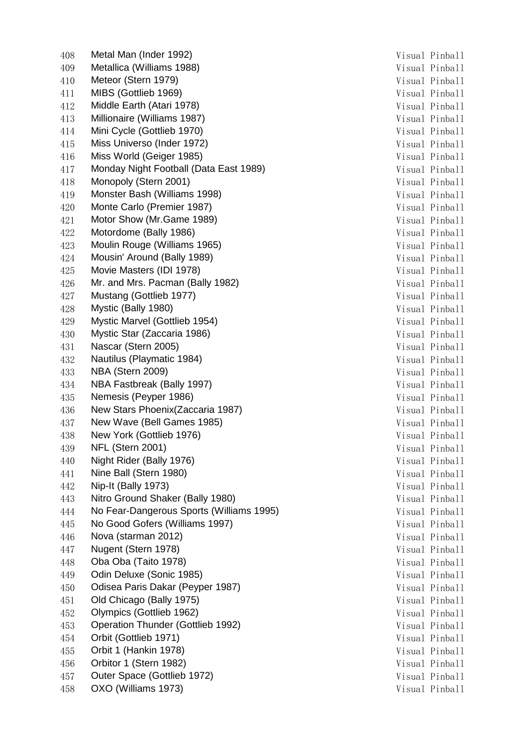408 Metal Man (Inder 1992) 31 Metal Man (Inder 1992) 409 Metallica (Williams 1988) **Visual Pinball** 410 Meteor (Stern 1979) 31 Meteor (Stern 1979) 32 411 MIBS (Gottlieb 1969) Visual Pinball 412 Middle Earth (Atari 1978) **Visual Pinball** 413 Millionaire (Williams 1987) Visual Pinball 414 Mini Cycle (Gottlieb 1970) **Visual Pinball** 415 Miss Universo (Inder 1972) Visual Pinball 416 Miss World (Geiger 1985) Visual Pinball 417 Monday Night Football (Data East 1989) Visual Pinball 418 Monopoly (Stern 2001) Visual Pinball 419 Monster Bash (Williams 1998) Visual Pinball 420 Monte Carlo (Premier 1987) Visual Pinball 421 Motor Show (Mr.Game 1989) **Visual Pinball** 422 Motordome (Bally 1986) **Visual Pinball** 423 Moulin Rouge (Williams 1965) Visual Pinball 424 Mousin' Around (Bally 1989) Visual Pinball 425 Movie Masters (IDI 1978) **Movie Masters (IDI 1978**) **Visual Pinball** 426 Mr. and Mrs. Pacman (Bally 1982) 426 Mr. and Mrs. Pinball 427 Mustang (Gottlieb 1977) **Visual Pinball** 428 Mystic (Bally 1980) Visual Pinball 429 Mystic Marvel (Gottlieb 1954) **Visual Pinball** 430 Mystic Star (Zaccaria 1986) **Visual Pinball** 431 Nascar (Stern 2005) Visual Pinball 432 Nautilus (Playmatic 1984) **Visual Pinball** 433 NBA (Stern 2009) Visual Pinball 434 NBA Fastbreak (Bally 1997) Visual Pinball 435 **Nemesis (Peyper 1986)** (2008) 235 Visual Pinball 436 New Stars Phoenix(Zaccaria 1987) Visual Pinball 437 New Wave (Bell Games 1985) Visual Pinball 438 New York (Gottlieb 1976) Visual Pinball 439 NFL (Stern 2001) Visual Pinball 440 Night Rider (Bally 1976) Night Rider (Bally 1976) 441 Nine Ball (Stern 1980) Visual Pinball 442 Nip-It (Bally 1973) **Visual Pinball** 443 Nitro Ground Shaker (Bally 1980) Contract Contract Contract Pinball Pinball 444 No Fear-Dangerous Sports (Williams 1995) Visual Pinball 445 No Good Gofers (Williams 1997) Visual Pinball 446 Nova (starman 2012) Visual Pinball 447 Nugent (Stern 1978) 31 November 2014 12:30 Nisual Pinball 448 Oba Oba (Taito 1978) Visual Pinball 449 Odin Deluxe (Sonic 1985) Visual Pinball 450 Odisea Paris Dakar (Peyper 1987) Visual Pinball 451 Old Chicago (Bally 1975) 2013 12:33 Visual Pinball 452 Olympics (Gottlieb 1962) Visual Pinball 453 Operation Thunder (Gottlieb 1992) Visual Pinball 454 Orbit (Gottlieb 1971) Visual Pinball 455 Orbit 1 (Hankin 1978) Visual Pinball 456 Orbitor 1 (Stern 1982) Visual Pinball 457 Outer Space (Gottlieb 1972) Visual Pinball 458 OXO (Williams 1973) 31 Metatro 2012 12:30 Metatro 2013 12:30 Visual Pinball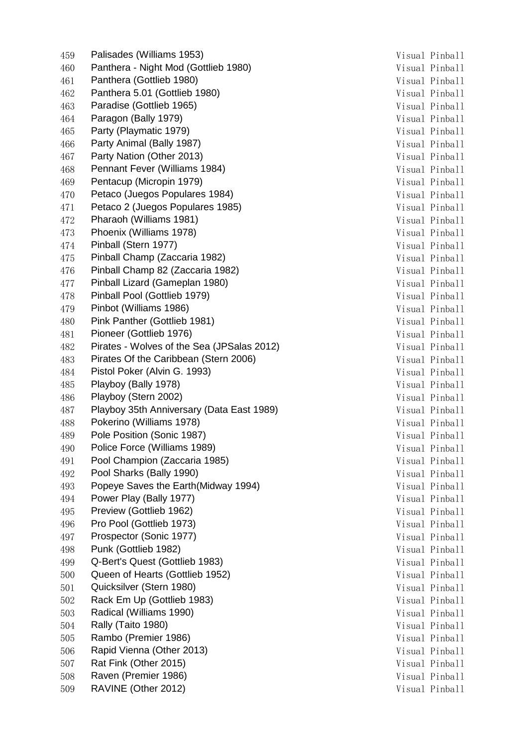459 Palisades (Williams 1953) 31 1 2022 1 2022 1 2022 1 2022 1 2022 1 2022 1 2022 1 2022 1 2022 1 2022 1 2022 1 2022 1 2022 1 2022 1 2022 1 2022 1 2022 1 2022 1 2022 1 2022 1 2022 1 2022 1 2022 1 2022 1 2022 1 2022 1 2022 460 Panthera - Night Mod (Gottlieb 1980) Visual Pinball 461 Panthera (Gottlieb 1980) Visual Pinball 462 Panthera 5.01 (Gottlieb 1980) Visual Pinball 463 Paradise (Gottlieb 1965) Visual Pinball 464 **Paragon (Bally 1979)** 3. The Second State of Texas Pinball Pinball 465 Party (Playmatic 1979) 31 2012 12:30 12:31 2014 12:31 21:31 21:31 21:31 21:31 21:31 21:31 21:31 21:31 21:31 21:31 21:31 21:31 21:31 21:31 21:31 21:31 21:31 21:31 21:31 21:31 21:31 21:31 21:31 21:31 21:31 21:31 21:31 21 466 Party Animal (Bally 1987) Visual Pinball 467 **Party Nation (Other 2013)** Service State Manual Pince Number 2013 468 Pennant Fever (Williams 1984) 31 Metatr 2016 1984 Visual Pinball 469 Pentacup (Micropin 1979) Visual Pinball 470 Petaco (Juegos Populares 1984) Visual Pinball 471 Petaco 2 (Juegos Populares 1985) Misual Pinball 472 Pharaoh (Williams 1981) Visual Pinball 473 Phoenix (Williams 1978) 2012 12:30 Phoenix (Williams 1978) 474 Pinball (Stern 1977) 31 March 2014 12:30 Visual Pinball 475 Pinball Champ (Zaccaria 1982) Visual Pinball 476 Pinball Champ 82 (Zaccaria 1982) Visual Pinball 477 Pinball Lizard (Gameplan 1980) Visual Pinball 478 Pinball Pool (Gottlieb 1979) 31 122 122 123 123 124 125 126 127 127 127 127 127 128 128 128 128 128 128 12 479 Pinbot (Williams 1986) 31 1 20 November 2014 1986) 9 November 2014 480 Pink Panther (Gottlieb 1981) Visual Pinball 481 Pioneer (Gottlieb 1976) 31 November 1976 1976 1980 Nisual Pinball 482 Pirates - Wolves of the Sea (JPSalas 2012) Visual Pinball 483 Pirates Of the Caribbean (Stern 2006) Visual Pinball 484 Pistol Poker (Alvin G. 1993) Visual Pinball 485 Playboy (Bally 1978) Visual Pinball 486 Playboy (Stern 2002) 31 Metal 2002 1 Metal Pinball 487 Playboy 35th Anniversary (Data East 1989) Visual Pinball 488 Pokerino (Williams 1978) Visual Pinball 489 Pole Position (Sonic 1987) Visual Pinball 490 Police Force (Williams 1989) Visual Pinball 491 Pool Champion (Zaccaria 1985) Martin Champion (State of Table 1985) 492 Pool Sharks (Bally 1990) Visual Pinball 493 Popeye Saves the Earth(Midway 1994) 71 March 2014 1994) 494 Power Play (Bally 1977) Visual Pinball 495 Preview (Gottlieb 1962) 2008 12:30 Visual Pinball 496 Pro Pool (Gottlieb 1973) Visual Pinball 497 Prospector (Sonic 1977) Visual Pinball 498 Punk (Gottlieb 1982) Visual Pinball 499 Q-Bert's Quest (Gottlieb 1983) Visual Pinball 500 Queen of Hearts (Gottlieb 1952) Visual Pinball 501 Quicksilver (Stern 1980) Visual Pinball 502 Rack Em Up (Gottlieb 1983) Visual Pinball 503 Radical (Williams 1990) **Example 2018** Visual Pinball 504 Rally (Taito 1980) 304 Rally (Taito 1980) 505 Rambo (Premier 1986) 305 Nisual Pinball 506 Rapid Vienna (Other 2013) Suite of the Contract of the Visual Pinball Visual Pinball 507 Rat Fink (Other 2015) Visual Pinball 508 Raven (Premier 1986) Visual Pinball 509 RAVINE (Other 2012) 309 Nisual Pinball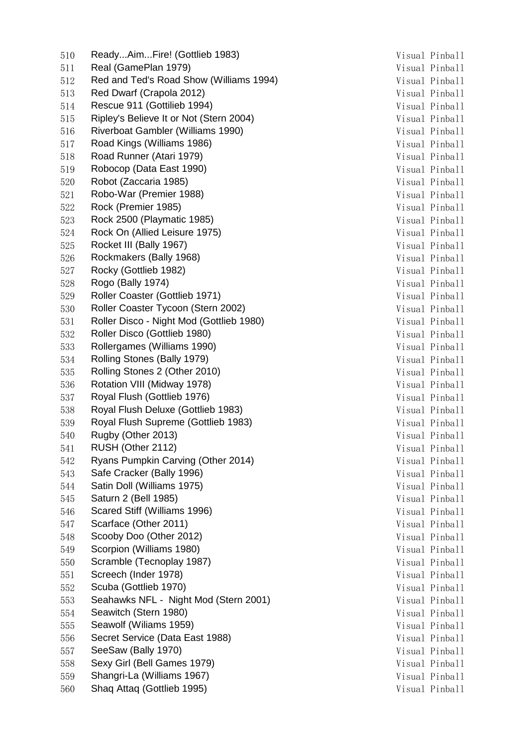510 Ready...Aim...Fire! (Gottlieb 1983) Visual Pinball 511 Real (GamePlan 1979) **Visual Pinball** 512 Red and Ted's Road Show (Williams 1994) Visual Pinball 513 Red Dwarf (Crapola 2012) Visual Pinball 514 Rescue 911 (Gottilieb 1994) Visual Pinball 515 Ripley's Believe It or Not (Stern 2004) Visual Pinball 516 Riverboat Gambler (Williams 1990) Visual Pinball 517 Road Kings (Williams 1986) Visual Pinball 518 Road Runner (Atari 1979) Visual Pinball 519 Robocop (Data East 1990) **Visual Pinball** 520 Robot (Zaccaria 1985) Visual Pinball 521 Robo-War (Premier 1988) 321 Nobo-War (Premier 1988) 522 Rock (Premier 1985) Visual Pinball 523 Rock 2500 (Playmatic 1985) Visual Pinball 524 Rock On (Allied Leisure 1975) Visual Pinball 525 Rocket III (Bally 1967) **Visual Pinball** 526 Rockmakers (Bally 1968) Visual Pinball 527 Rocky (Gottlieb 1982) 327 Rocky (Gottlieb 1982) 528 Rogo (Bally 1974) 328 Rogo (Bally 1974) 529 Roller Coaster (Gottlieb 1971) Visual Pinball 530 Roller Coaster Tycoon (Stern 2002) Visual Pinball 531 Roller Disco - Night Mod (Gottlieb 1980) Visual Pinball 532 Roller Disco (Gottlieb 1980) **Visual Pinball** 533 Rollergames (Williams 1990) **Visual Pinball** 534 Rolling Stones (Bally 1979) **Visual Pinball** 535 Rolling Stones 2 (Other 2010) Contract Contract Contract Muslim Pinball 536 Rotation VIII (Midway 1978) 2012 12:38 Nisual Pinball 537 Royal Flush (Gottlieb 1976) 37 Nisual Pinball 538 Royal Flush Deluxe (Gottlieb 1983) Visual Pinball 539 Royal Flush Supreme (Gottlieb 1983) Visual Pinball 540 Rugby (Other 2013) Sunday Strategies and Society and Society and Society and Society and Pinball 541 RUSH (Other 2112) Visual Pinball 542 Ryans Pumpkin Carving (Other 2014) Visual Pinball 543 Safe Cracker (Bally 1996) Visual Pinball 544 Satin Doll (Williams 1975) Satin Doll (Williams 1975) Suite of the Museum of the Visual Pinball 545 Saturn 2 (Bell 1985) Visual Pinball 546 Scared Stiff (Williams 1996) Visual Pinball 547 Scarface (Other 2011) Visual Pinball 548 Scooby Doo (Other 2012) Superior Scooby Doo (Other 2012) Superior System Management System Management Management Management Management Management Management Management Management Management Management Management Manage 549 Scorpion (Williams 1980) Scorpion (Williams 1980) Scorpion (Williams 1980) 550 Scramble (Tecnoplay 1987) 350 Visual Pinball 551 Screech (Inder 1978) Visual Pinball 552 Scuba (Gottlieb 1970) Visual Pinball 553 Seahawks NFL - Night Mod (Stern 2001) Visual Pinball 554 Seawitch (Stern 1980) 354 Seawitch (Stern 1980) 555 Seawolf (Wiliams 1959) 355 Seawolf (Wiliams 1959) 556 Secret Service (Data East 1988) 356 Visual Pinball 557 SeeSaw (Bally 1970) 357 SeeSaw (Bally 1970) 558 Sexy Girl (Bell Games 1979) Visual Pinball 559 Shangri-La (Williams 1967) 359 Shangri-La (Williams 1967) 560 Shaq Attaq (Gottlieb 1995) 360 Shaq Attaq (Gottlieb 1995)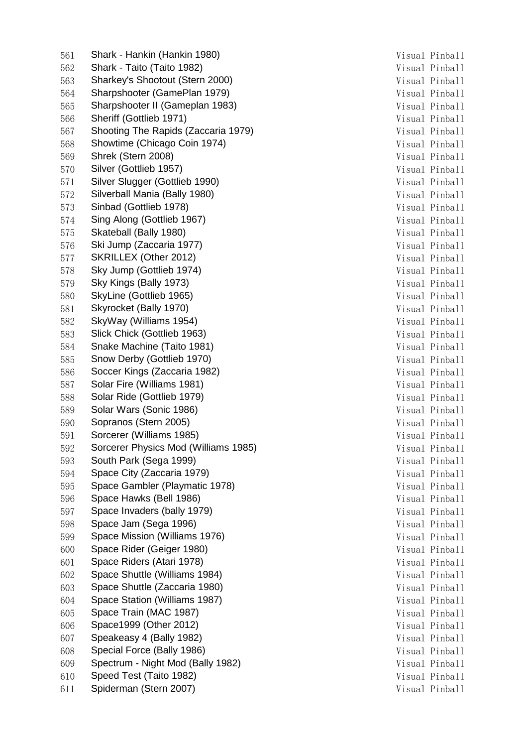561 Shark - Hankin (Hankin 1980) Shark - Hankin 1980) Shark - Hankin Museum Museum Museum Museum Visual Pinball 562 Shark - Taito (Taito 1982) 362 Shark - Taito (Taito 1982) 563 Sharkey's Shootout (Stern 2000) 7isual Pinball 564 Sharpshooter (GamePlan 1979) Visual Pinball 565 Sharpshooter II (Gameplan 1983) Visual Pinball 566 Sheriff (Gottlieb 1971) 366 Sheriff (Gottlieb 1971) 567 Shooting The Rapids (Zaccaria 1979) Shooting The Rapids (Zaccaria 1979) Shooting Pinball 568 Showtime (Chicago Coin 1974) Visual Pinball 569 Shrek (Stern 2008) Visual Pinball 570 Silver (Gottlieb 1957) 370 Silver (Gottlieb 1957) 571 Silver Slugger (Gottlieb 1990) Subsettle Controller Mondon Visual Pinball Pinball 572 Silverball Mania (Bally 1980) **Visual Pinball** 573 Sinbad (Gottlieb 1978) Visual Pinball 574 Sing Along (Gottlieb 1967) Suite of the United States of the Visual Pinball Pinball 575 Skateball (Bally 1980) 375 Skateball (Bally 1980) 576 Ski Jump (Zaccaria 1977) Shah Kura a Shekara a Visual Pinball Visual Pinball 577 SKRILLEX (Other 2012) Visual Pinball 578 Sky Jump (Gottlieb 1974) 378 Visual Pinball 579 Sky Kings (Bally 1973) 30 November 2014 1974 1985 1986 Visual Pinball 580 SkyLine (Gottlieb 1965) 380 SkyLine (Gottlieb 1965) 581 Skyrocket (Bally 1970) 381 Skyrocket (Bally 1970) 381 Skyrocket (Bally 1970) 582 SkyWay (Williams 1954) 382 SkyWay (Williams 1954) 583 Slick Chick (Gottlieb 1963) Visual Pinball 584 Snake Machine (Taito 1981) Visual Pinball 585 Snow Derby (Gottlieb 1970) 385 Snow Derby (Gottlieb 1970) 586 Soccer Kings (Zaccaria 1982) 386 Soccer Kings (Zaccaria 1982) 587 Solar Fire (Williams 1981) Visual Pinball 588 Solar Ride (Gottlieb 1979) 388 Solar Ride (Gottlieb 1979) 589 Solar Wars (Sonic 1986) Solar Wars (Sonic 1986) 590 Sopranos (Stern 2005) Visual Pinball 591 Sorcerer (Williams 1985) Visual Pinball 592 Sorcerer Physics Mod (Williams 1985) Superintendent State of Pinball Pinball 593 South Park (Sega 1999) 393 South Park (Sega 1999) 594 Space City (Zaccaria 1979) **Visual Pinball** 595 Space Gambler (Playmatic 1978) 35 Nisual Pinball 596 Space Hawks (Bell 1986) Superior System Music Pinball Visual Pinball Visual Pinball 597 Space Invaders (bally 1979) 30 and 50 Space Invaders (bally 1979) 30 and 50 Space Invaders (ball 598 Space Jam (Sega 1996) 398 Space Jam (Sega 1996) 599 Space Mission (Williams 1976) 399 Space Mission (Williams 1976) 600 Space Rider (Geiger 1980) 30 and 500 Space Rider (Geiger 1980) 601 Space Riders (Atari 1978) 31 November 2016 10:30 Nisual Pinball 602 Space Shuttle (Williams 1984) Visual Pinball 603 Space Shuttle (Zaccaria 1980) Visual Pinball 604 Space Station (Williams 1987) Visual Pinball 605 Space Train (MAC 1987) Sual Pinball Pinball Pinball Pinball Pinball Pinball Pinball Pinball Pinball Pinball Pinball Pinball Pinball Pinball Pinball Pinball Pinball Pinball Pinball Pinball Pinball Pinball Pinball Pinbal 606 Space1999 (Other 2012) 3. The Suite of the Visual Pinball Visual Pinball 607 Speakeasy 4 (Bally 1982) Speakeasy 4 (Bally 1982) 608 Special Force (Bally 1986) 30 and 50 and 50 and 50 and 50 and 51 and 51 and 51 and 51 and 51 and 51 and 51 and 51 and 51 and 51 and 51 and 51 and 51 and 51 and 51 and 51 and 51 and 51 and 51 and 51 and 51 and 51 and 51 609 Spectrum - Night Mod (Bally 1982) Visual Pinball 610 Speed Test (Taito 1982) Visual Pinball 611 Spiderman (Stern 2007) Suite of the United States of the Visual Pinball Visual Pinball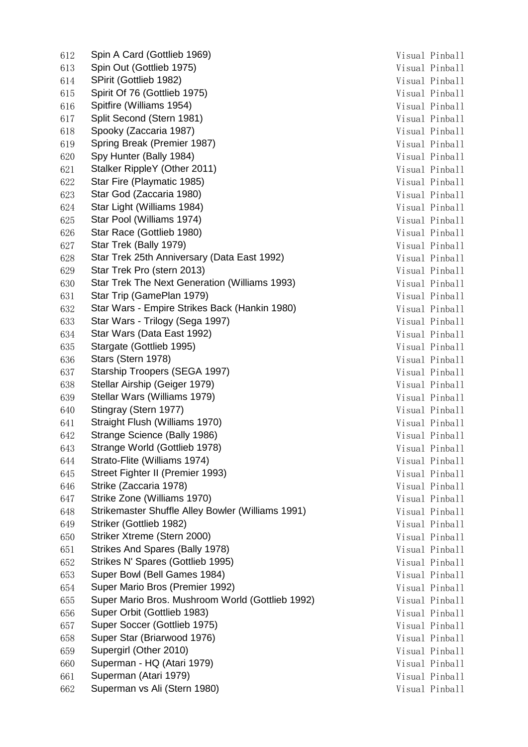612 Spin A Card (Gottlieb 1969) Visual Pinball 613 Spin Out (Gottlieb 1975) Spin Out (Gottlieb 1975) Superintendent State of the Visual Pinball Visual Pinball 614 SPirit (Gottlieb 1982) Visual Pinball 615 Spirit Of 76 (Gottlieb 1975) Visual Pinball 616 Spitfire (Williams 1954) 3. The Spitfire (Williams 1954) 3. The Spitfire of the Spitfire of the Visual Pinball 617 Split Second (Stern 1981) 31 November 2017 1981 Visual Pinball 618 Spooky (Zaccaria 1987) Visual Pinball 619 Spring Break (Premier 1987) Visual Pinball 620 Spy Hunter (Bally 1984) Visual Pinball 621 Stalker RippleY (Other 2011) Visual Pinball 622 Star Fire (Playmatic 1985) Visual Pinball 623 Star God (Zaccaria 1980) Star God (Zaccaria 1980) Superior Contract Contract Muslim Dinball Pinball 624 Star Light (Williams 1984) Visual Pinball 625 Star Pool (Williams 1974) 31 November 2014 10:30 Nisual Pinball 626 Star Race (Gottlieb 1980) 36 and 50 and 50 and 51 and 51 and 51 and 51 and 51 and 51 and 51 and 51 and 51 and 51 and 51 and 51 and 51 and 51 and 51 and 51 and 51 and 51 and 51 and 51 and 51 and 51 and 51 and 51 and 51 627 Star Trek (Bally 1979) 30 Nisual Pinball Visual Pinball 628 Star Trek 25th Anniversary (Data East 1992) Visual Pinball 629 Star Trek Pro (stern 2013) Visual Pinball 630 Star Trek The Next Generation (Williams 1993) Visual Pinball 631 Star Trip (GamePlan 1979) Star Trip (GamePlan 1979) Visual Pinball 632 Star Wars - Empire Strikes Back (Hankin 1980) Visual Pinball 633 Star Wars - Trilogy (Sega 1997) **Visual Pinball** 634 Star Wars (Data East 1992) Visual Pinball 635 Stargate (Gottlieb 1995) 35 Stargate (Gottlieb 1995) 636 Stars (Stern 1978) 36 November 2016 11: No Visual Pinball 637 Starship Troopers (SEGA 1997) Visual Pinball 638 Stellar Airship (Geiger 1979) Visual Pinball 639 Stellar Wars (Williams 1979) **Visual Pinball** 640 Stingray (Stern 1977) 31 November 2014 1988 Nisual Pinball 641 Straight Flush (Williams 1970) Visual Pinball 642 Strange Science (Bally 1986) Contract Contract Contract Contract Contract Contract Contract Contract Contract Contract Contract Contract Contract Contract Contract Contract Contract Contract Contract Contract Contract 643 Strange World (Gottlieb 1978) Visual Pinball 644 Strato-Flite (Williams 1974) 36 Visual Pinball 645 Street Fighter II (Premier 1993) Visual Pinball 646 Strike (Zaccaria 1978) 30 Nisual Pinball 647 Strike Zone (Williams 1970) Superintendent Strike Visual Pinball Visual Pinball 648 Strikemaster Shuffle Alley Bowler (Williams 1991) Visual Pinball 649 Striker (Gottlieb 1982) Visual Pinball 650 Striker Xtreme (Stern 2000) 30 and 50 and 50 and 51 and 51 and 51 and 51 and 51 and 51 and 51 and 51 and 52 and 52 and 53 and 54 and 55 and 55 and 55 and 55 and 55 and 55 and 55 and 55 and 55 and 55 and 55 and 55 and 5 651 Strikes And Spares (Bally 1978) Contract Contract Contract And Pinball 652 Strikes N' Spares (Gottlieb 1995) Visual Pinball 653 Super Bowl (Bell Games 1984) 31 March 2014 10: 100 Visual Pinball 654 Super Mario Bros (Premier 1992) Visual Pinball 655 Super Mario Bros. Mushroom World (Gottlieb 1992) Visual Pinball 656 Super Orbit (Gottlieb 1983) Visual Pinball 657 Super Soccer (Gottlieb 1975) 30 000 000 Visual Pinball 658 Super Star (Briarwood 1976) 658 Super Star (Briarwood 1976) 659 Supergirl (Other 2010) 3. The Supergirl (Other 2010) 3. The Supergirl Community of the Visual Pinball 660 Superman - HQ (Atari 1979) Visual Pinball 661 Superman (Atari 1979) Visual Pinball 662 Superman vs Ali (Stern 1980) **Visual Pinball**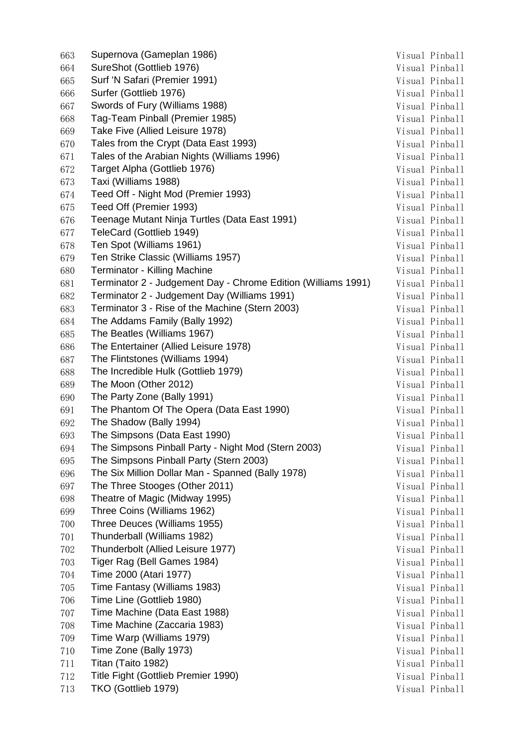| 663 | Supernova (Gameplan 1986)                                     | Visual Pinball |
|-----|---------------------------------------------------------------|----------------|
| 664 | SureShot (Gottlieb 1976)                                      | Visual Pinball |
| 665 | Surf 'N Safari (Premier 1991)                                 | Visual Pinball |
| 666 | Surfer (Gottlieb 1976)                                        | Visual Pinball |
| 667 | Swords of Fury (Williams 1988)                                | Visual Pinball |
| 668 | Tag-Team Pinball (Premier 1985)                               | Visual Pinball |
| 669 | Take Five (Allied Leisure 1978)                               | Visual Pinball |
| 670 | Tales from the Crypt (Data East 1993)                         | Visual Pinball |
| 671 | Tales of the Arabian Nights (Williams 1996)                   | Visual Pinball |
| 672 | Target Alpha (Gottlieb 1976)                                  | Visual Pinball |
| 673 | Taxi (Williams 1988)                                          | Visual Pinball |
| 674 | Teed Off - Night Mod (Premier 1993)                           | Visual Pinball |
| 675 | Teed Off (Premier 1993)                                       | Visual Pinball |
| 676 | Teenage Mutant Ninja Turtles (Data East 1991)                 | Visual Pinball |
| 677 | TeleCard (Gottlieb 1949)                                      | Visual Pinball |
| 678 | Ten Spot (Williams 1961)                                      | Visual Pinball |
| 679 | Ten Strike Classic (Williams 1957)                            | Visual Pinball |
| 680 | Terminator - Killing Machine                                  | Visual Pinball |
| 681 | Terminator 2 - Judgement Day - Chrome Edition (Williams 1991) | Visual Pinball |
| 682 | Terminator 2 - Judgement Day (Williams 1991)                  | Visual Pinball |
|     | Terminator 3 - Rise of the Machine (Stern 2003)               | Visual Pinball |
| 683 | The Addams Family (Bally 1992)                                |                |
| 684 | The Beatles (Williams 1967)                                   | Visual Pinball |
| 685 |                                                               | Visual Pinball |
| 686 | The Entertainer (Allied Leisure 1978)                         | Visual Pinball |
| 687 | The Flintstones (Williams 1994)                               | Visual Pinball |
| 688 | The Incredible Hulk (Gottlieb 1979)                           | Visual Pinball |
| 689 | The Moon (Other 2012)                                         | Visual Pinball |
| 690 | The Party Zone (Bally 1991)                                   | Visual Pinball |
| 691 | The Phantom Of The Opera (Data East 1990)                     | Visual Pinball |
| 692 | The Shadow (Bally 1994)                                       | Visual Pinball |
| 693 | The Simpsons (Data East 1990)                                 | Visual Pinball |
| 694 | The Simpsons Pinball Party - Night Mod (Stern 2003)           | Visual Pinball |
| 695 | The Simpsons Pinball Party (Stern 2003)                       | Visual Pinball |
| 696 | The Six Million Dollar Man - Spanned (Bally 1978)             | Visual Pinball |
| 697 | The Three Stooges (Other 2011)                                | Visual Pinball |
| 698 | Theatre of Magic (Midway 1995)                                | Visual Pinball |
| 699 | Three Coins (Williams 1962)                                   | Visual Pinball |
| 700 | Three Deuces (Williams 1955)                                  | Visual Pinball |
| 701 | Thunderball (Williams 1982)                                   | Visual Pinball |
| 702 | Thunderbolt (Allied Leisure 1977)                             | Visual Pinball |
| 703 | Tiger Rag (Bell Games 1984)                                   | Visual Pinball |
| 704 | Time 2000 (Atari 1977)                                        | Visual Pinball |
| 705 | Time Fantasy (Williams 1983)                                  | Visual Pinball |
| 706 | Time Line (Gottlieb 1980)                                     | Visual Pinball |
| 707 | Time Machine (Data East 1988)                                 | Visual Pinball |
| 708 | Time Machine (Zaccaria 1983)                                  | Visual Pinball |
| 709 | Time Warp (Williams 1979)                                     | Visual Pinball |
| 710 | Time Zone (Bally 1973)                                        | Visual Pinball |
| 711 | Titan (Taito 1982)                                            | Visual Pinball |
| 712 | Title Fight (Gottlieb Premier 1990)                           | Visual Pinball |
| 713 | TKO (Gottlieb 1979)                                           | Visual Pinball |
|     |                                                               |                |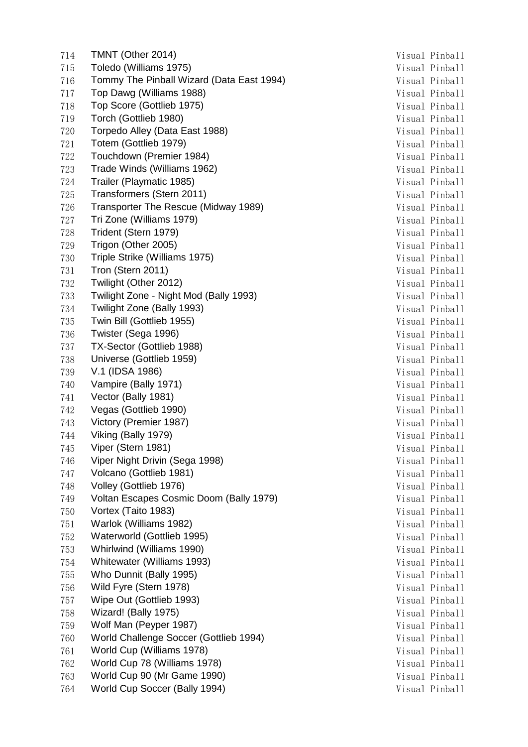714 TMNT (Other 2014) Visual Pinball 715 Toledo (Williams 1975) 715 Wisual Pinball 716 Tommy The Pinball Wizard (Data East 1994) Visual Pinball 717 Top Dawg (Williams 1988) 717 Top Dawg (Williams 1988) 718 Top Score (Gottlieb 1975) 718 Visual Pinball 719 Torch (Gottlieb 1980) 719 Visual Pinball 720 Torpedo Alley (Data East 1988) Visual Pinball 721 Totem (Gottlieb 1979) Visual Pinball 722 Touchdown (Premier 1984) Visual Pinball 723 Trade Winds (Williams 1962) 723 Visual Pinball 724 Trailer (Playmatic 1985) **Visual Pinball** 725 Transformers (Stern 2011) Visual Pinball 726 Transporter The Rescue (Midway 1989) The Visual Pinball 727 Tri Zone (Williams 1979) **Tri Zone** (Williams 1979) 728 Trident (Stern 1979) 728 Visual Pinball 729 Trigon (Other 2005) 729 Visual Pinball 730 Triple Strike (Williams 1975) 730 Visual Pinball 731 Tron (Stern 2011) Visual Pinball 732 Twilight (Other 2012) 732 Visual Pinball 733 Twilight Zone - Night Mod (Bally 1993) Visual Pinball 734 Twilight Zone (Bally 1993) 734 Visual Pinball 735 Twin Bill (Gottlieb 1955) 735 Visual Pinball 736 Twister (Sega 1996) 736 Visual Pinball 737 TX-Sector (Gottlieb 1988) Visual Pinball 738 Universe (Gottlieb 1959) **Visual Pinball** 739 V.1 (IDSA 1986) Visual Pinball 740 Vampire (Bally 1971) Visual Pinball 741 Vector (Bally 1981) 741 Vector (Bally 1981) 742 Vegas (Gottlieb 1990) **Visual Pinball** 743 Victory (Premier 1987) Visual Pinball 744 Viking (Bally 1979) 744 Visual Pinball 745 Viper (Stern 1981) 3745 Visual Pinball 746 Viper Night Drivin (Sega 1998) 746 Visual Pinball 747 Volcano (Gottlieb 1981) Visual Pinball 748 Volley (Gottlieb 1976) 748 Visual Pinball 749 Voltan Escapes Cosmic Doom (Bally 1979) Visual Pinball 750 Vortex (Taito 1983) Visual Pinball 751 Warlok (Williams 1982) 751 Warlok (Williams 1982) 752 Waterworld (Gottlieb 1995) 3752 Waterworld (Gottlieb 1995) 753 Whirlwind (Williams 1990) **Visual Pinball** 754 Whitewater (Williams 1993) 754 Visual Pinball 755 Who Dunnit (Bally 1995) Visual Pinball 756 Wild Fyre (Stern 1978) 3756 Visual Pinball 757 Wipe Out (Gottlieb 1993) Visual Pinball 758 Wizard! (Bally 1975) 758 Wizard Pinball 759 Wolf Man (Peyper 1987) 759 Wolf Man (Peyper 1987) 760 World Challenge Soccer (Gottlieb 1994) Visual Pinball 761 World Cup (Williams 1978) 761 Visual Pinball 762 World Cup 78 (Williams 1978) 762 Wisual Pinball 763 World Cup 90 (Mr Game 1990) Visual Pinball 764 World Cup Soccer (Bally 1994) 764 Visual Pinball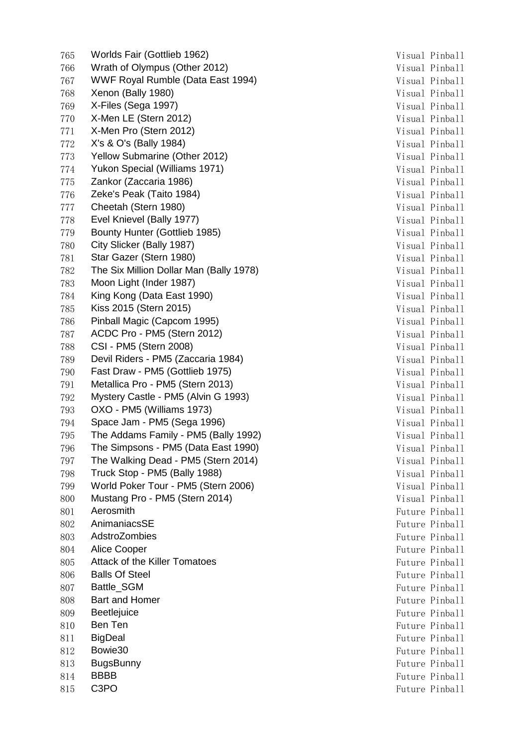765 Worlds Fair (Gottlieb 1962) 765 Worlds Fair (Gottlieb 1962) 766 Wrath of Olympus (Other 2012) 766 Wrath of Olympus (Other 2012) 767 WWF Royal Rumble (Data East 1994) 767 Visual Pinball 768 Xenon (Bally 1980) 768 Visual Pinball 769 X-Files (Sega 1997) Visual Pinball 770 X-Men LE (Stern 2012) 370 X-Men LE (Stern 2012) 771 X-Men Pro (Stern 2012) 371 Visual Pinball 772 X's & O's (Bally 1984) Visual Pinball 773 Yellow Submarine (Other 2012) Visual Pinball 774 Yukon Special (Williams 1971) 774 Visual Pinball 775 Zankor (Zaccaria 1986) Visual Pinball 776 Zeke's Peak (Taito 1984) Visual Pinball 777 Cheetah (Stern 1980) Visual Pinball 778 Evel Knievel (Bally 1977) **Visual Pinball** 779 Bounty Hunter (Gottlieb 1985) 779 Visual Pinball 780 City Slicker (Bally 1987) 780 Visual Pinball 781 Star Gazer (Stern 1980) Startegy and Startegy and Startegy and Visual Pinball 782 The Six Million Dollar Man (Bally 1978) 782 Visual Pinball 783 Moon Light (Inder 1987) 783 Wisual Pinball 784 King Kong (Data East 1990) 784 Visual Pinball 785 Kiss 2015 (Stern 2015) Visual Pinball 786 Pinball Magic (Capcom 1995) 786 Visual Pinball 787 ACDC Pro - PM5 (Stern 2012) Visual Pinball 788 CSI - PM5 (Stern 2008) Visual Pinball 789 Devil Riders - PM5 (Zaccaria 1984) Visual Pinball 790 Fast Draw - PM5 (Gottlieb 1975) 790 Visual Pinball 791 Metallica Pro - PM5 (Stern 2013) Visual Pinball 792 Mystery Castle - PM5 (Alvin G 1993) Visual Pinball 793 OXO - PM5 (Williams 1973) Visual Pinball 794 Space Jam - PM5 (Sega 1996) Contract Contract Contract Pinball 795 The Addams Family - PM5 (Bally 1992) The Addams Family - PM5 (Bally 1992) 796 The Simpsons - PM5 (Data East 1990) The Simple Research Research Pinball 797 The Walking Dead - PM5 (Stern 2014) Visual Pinball 798 Truck Stop - PM5 (Bally 1988) Visual Pinball 799 World Poker Tour - PM5 (Stern 2006) Visual Pinball 800 Mustang Pro - PM5 (Stern 2014) Visual Pinball 801 Aerosmith **Future Pinball** 802 AnimaniacsSE Future Pinball 803 AdstroZombies Future Pinball 804 Alice Cooper Future Pinball 805 Attack of the Killer Tomatoes **Future Pinball** 806 Balls Of Steel **Future Pinball** 807 Battle SGM **Future Pinball** 808 Bart and Homer **Future Pinball** 809 Beetlejuice **Future Pinball** 810 Ben Ten Future Pinball and Separate Separate Separate Separate Separate Separate Separate Separate Separate Separate Separate Separate Separate Separate Separate Separate Separate Separate Separate Separate Separate Se 811 BigDeal **Future Pinball** BigDeal **Future Pinball** BigDeal **Future Pinball** 812 Bowie30 Future Pinball 813 BugsBunny **Future Pinball** 814 BBBB Future Pinball 815 C3PO **Future Pinball**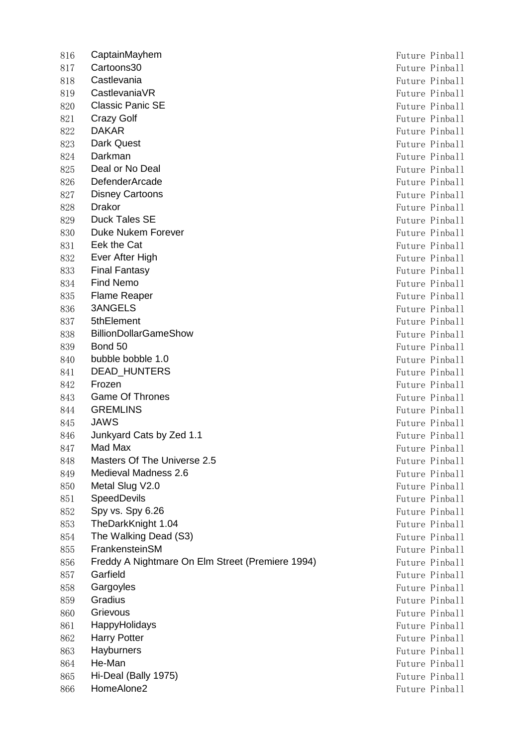816 CaptainMayhem **Future Pinball** 817 Cartoons30 **Future Pinball** 818 Castlevania **Future Pinball** 819 CastlevaniaVR **Future Pinball** 820 Classic Panic SE **Future Pinball Classic Panic SE Future Pinball** 821 Crazy Golf **Future Pinball** Future Pinball 822 DAKAR Future Pinball 823 **Dark Quest** Future Pinball 824 Darkman Future Pinball 825 Deal or No Deal **Future Pinball Pince 25** Puture Pinball 826 DefenderArcade **Future Pinball** 827 **Disney Cartoons Future Pinball** 828 **Drakor** Future Pinball 829 Duck Tales SE Future Pinball 830 Duke Nukem Forever **Future Pinball** 831 Eek the Cat Future Pinball 832 Ever After High Future Pinball and Solution and Solution Puture Pinball and Future Pinball 833 **Final Fantasy Final Fantasy Future Pinball** 834 **Find Nemo Future Pinball** 835 Flame Reaper **Future Pinball** 836 3ANGELS Future Pinball 837 5thElement Future Pinball 838 BillionDollarGameShow **Future Pinball** Puture Pinball 839 Bond 50 **Bond 50 Bond 50 Bond 50 Bond 50 Bond 50 Bond 50 Bond 50 Bond 50 Bond 50 Bond 50 Bond 50 Bond 50 Bond 50 Bond 50 Bond 50 Bond 50 Bond 50 Bond 50 Bond 50 Bond 50 Bond 50** 840 bubble bobble 1.0 **Future Pinball bubble bobble 1.0** Future Pinball 841 DEAD HUNTERS Future Pinball 842 Frozen **Frozen Future Pinball** 843 Game Of Thrones **Future Pinball** 844 GREMLINS Future Pinball 845 JAWS Future Pinball 846 Junkyard Cats by Zed 1.1 **Full** example 2018 Future Pinball 847 Mad Max **Future Pinball** 848 Masters Of The Universe 2.5 Future Pinball 849 Medieval Madness 2.6 **Future Pinball** 850 Metal Slug V2.0 851 SpeedDevils **Future Pinball** 852 Spy vs. Spy 6.26 Future Pinball 853 TheDarkKnight 1.04 Future Pinball 854 The Walking Dead (S3) **Future Pinball** Books and The Walking Dead (S3) 855 FrankensteinSM **Future Pinball** 856 Freddy A Nightmare On Elm Street (Premiere 1994) Future Pinball 857 Garfield **Future Pinball** 858 Gargoyles **Future Pinball** 859 Gradius **Future Pinball** 860 Grievous **Future Pinball** 861 HappyHolidays Future Pinball 862 Harry Potter Future Pinball 863 Hayburners **Future Pinball** 864 He-Man Future Pinball 865 Hi-Deal (Bally 1975) States and the Second States of the Pinball Puture Pinball 866 HomeAlone2 **Future Pinball**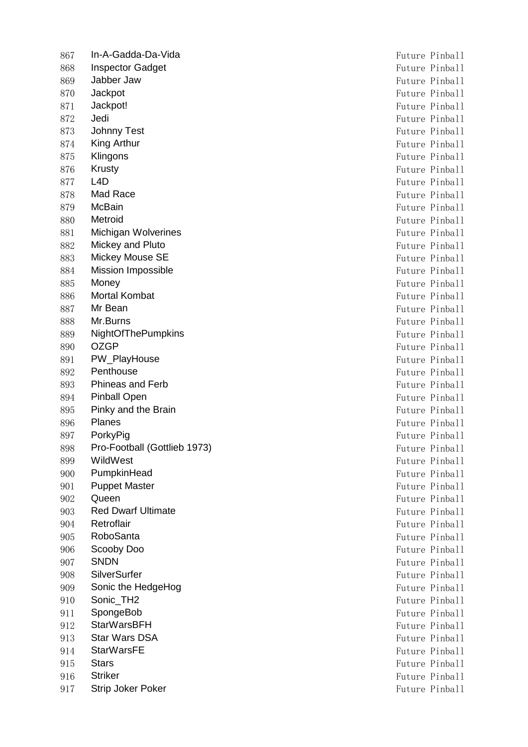867 In-A-Gadda-Da-Vida Future Pinball 868 Inspector Gadget **Future Pinball** 869 Jabber Jaw Future Pinball 870 Jackpot **Future Pinball** 871 Jackpot! Same Pinball and Solution of the Solution of the Pinball and Solution of the Pinball and Solution of the Pinball and Solution of the Solution of the Pinball and Solution of the Solution of the Solution of the 872 Jedi **Future Pinball** 873 Johnny Test **Future Pinball** 874 King Arthur Future Pinball 875 Klingons **Future Pinball** 876 Krusty **Future Pinball** 877 L4D Future Pinball 878 Mad Race **Future Pinball** 879 McBain Future Pinball 880 Metroid **Future Pinball** 881 Michigan Wolverines **Future Pinball Michigan Wolverines Future Pinball** 882 Mickey and Pluto Future Pinball 883 Mickey Mouse SE **Future Pinball** 884 Mission Impossible **Future Pinball** 885 Money **Future Pinball** 886 Mortal Kombat Future Pinball 887 Mr Bean Future Pinball 888 Mr.Burns Future Pinball 889 NightOfThePumpkins Future Pinball 890 OZGP Future Pinball 891 PW\_PlayHouse **Future Pinball** 892 Penthouse **Future Pinball** 893 Phineas and Ferb Future Pinball 894 Pinball Open **Future Pinball** Open **Future Pinball Pinball Future Pinball** 895 Pinky and the Brain Future Pinball and the Brain Future Pinball and Turking Pinball and Turking Pinball and Turking Pinball and Turking Pinball and Turking Pinball and Turking Pinball and Turking Pinball and Turking Pi 896 Planes Future Pinball 897 PorkyPig **Future Pinball** 898 Pro-Football (Gottlieb 1973) Superintendent State Pinball Puture Pinball 899 WildWest **Future Pinball** 900 PumpkinHead Future Pinball 901 Puppet Master **Future Pinball** 902 Queen **Example 202** Queen **Future Pinball** 903 Red Dwarf Ultimate Future Pinball 904 Retroflair **Future Pinball** 905 RoboSanta **Future Pinball** 906 Scooby Doo Future Pinball 907 SNDN Future Pinball 908 SilverSurfer Future Pinball 909 Sonic the HedgeHog **Sonic the HedgeHog Future Pinball Future Pinball** 910 Sonic TH2 **Future Pinball** 911 SpongeBob Future Pinball 912 StarWarsBFH **Future Pinball** 913 Star Wars DSA **Future Pinball** 914 StarWarsFE **Future Pinball** 915 Stars Future Pinball 916 Striker Future Pinball 917 Strip Joker Poker Future Pinball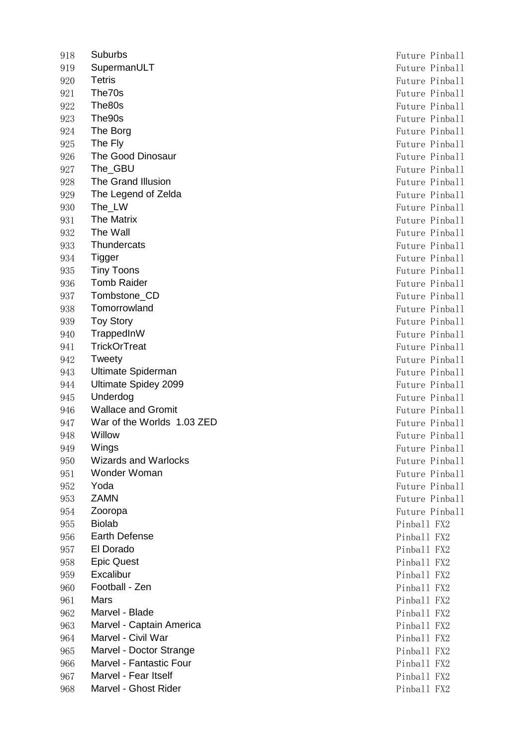918 Suburbs Future Pinball 919 SupermanULT **Future Pinball** 920 Tetris **Future Pinball** 921 The70s Future Pinball 922 The80s Future Pinball 923 The 90s **Future Pinball** 924 The Borg **Future Pinball** 925 The Fly **Future Pinball** 926 The Good Dinosaur **Future Pinball** 927 The GBU **Future Pinball** 928 The Grand Illusion **Future Pinball** 929 The Legend of Zelda Future Pinball 930 The LW Future Pinball 931 The Matrix **Future Pinball** 932 The Wall Future Pinball Future Pinball Future Pinball Future Pinball 933 Thundercats **Future Pinball** 934 Tigger Future Pinball 935 **Tiny Toons Future Pinball** 936 Tomb Raider **Future Pinball** 937 Tombstone\_CD Future Pinball 938 Tomorrowland **Future Pinball** 939 Toy Story **Future Pinball** 940 TrappedInW Future Pinball 941 TrickOrTreat **Future Pinball** 942 Tweety **Future Pinball** 943 Ultimate Spiderman Future Pinball 944 Ultimate Spidey 2099 **Future Pinball** 945 Underdog Future Pinball 946 Wallace and Gromit **Future Pinball Future Pinball** 947 War of the Worlds 1.03 ZED Future Pinball 948 Willow Future Pinball 949 Wings **Future Pinball** 950 Wizards and Warlocks **Future Pinball** 951 Wonder Woman **Future Pinball** 952 Yoda **Future Pinball** 953 **ZAMN** Future Pinball 954 Zooropa **Future Pinball** 955 Biolab **Pincipall FX2** 956 Earth Defense **Pinball FX2** 957 El Dorado **Pinball FX2** 958 Epic Quest **Pinball FX2** 959 Excalibur Pinball FX2 960 **Football - Zen** Pinball FX2 961 Mars Pinball FX2 962 Marvel - Blade **Pince Accord Finder Accord Finder** Pinball FX2 963 Marvel - Captain America **Pincel America** Pinball FX2 964 Marvel - Civil War **Pinball FX2** 965 Marvel - Doctor Strange Pinball FX2 966 Marvel - Fantastic Four **Pinball FX2** Pinball FX2 967 Marvel - Fear Itself Pinball FX2 968 Marvel - Ghost Rider **Pinball FX2**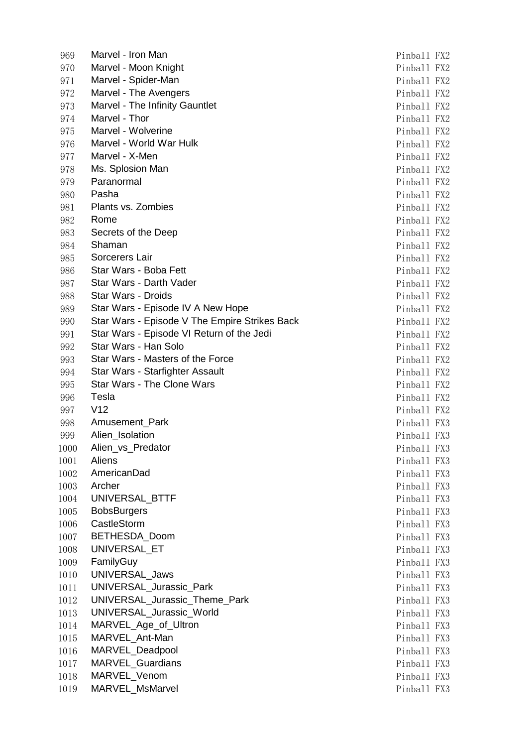| 969  | Marvel - Iron Man                             | Pinball FX2 |  |
|------|-----------------------------------------------|-------------|--|
| 970  | Marvel - Moon Knight                          | Pinball FX2 |  |
| 971  | Marvel - Spider-Man                           | Pinball FX2 |  |
| 972  | Marvel - The Avengers                         | Pinball FX2 |  |
| 973  | Marvel - The Infinity Gauntlet                | Pinball FX2 |  |
| 974  | Marvel - Thor                                 | Pinball FX2 |  |
| 975  | Marvel - Wolverine                            | Pinball FX2 |  |
| 976  | Marvel - World War Hulk                       | Pinball FX2 |  |
| 977  | Marvel - X-Men                                | Pinball FX2 |  |
| 978  | Ms. Splosion Man                              | Pinball FX2 |  |
| 979  | Paranormal                                    | Pinball FX2 |  |
| 980  | Pasha                                         | Pinball FX2 |  |
| 981  | Plants vs. Zombies                            | Pinball FX2 |  |
| 982  | Rome                                          | Pinball FX2 |  |
| 983  | Secrets of the Deep                           | Pinball FX2 |  |
| 984  | Shaman                                        | Pinball FX2 |  |
| 985  | Sorcerers Lair                                | Pinball FX2 |  |
| 986  | Star Wars - Boba Fett                         | Pinball FX2 |  |
| 987  | Star Wars - Darth Vader                       | Pinball FX2 |  |
| 988  | Star Wars - Droids                            | Pinball FX2 |  |
| 989  | Star Wars - Episode IV A New Hope             | Pinball FX2 |  |
| 990  | Star Wars - Episode V The Empire Strikes Back | Pinball FX2 |  |
| 991  | Star Wars - Episode VI Return of the Jedi     | Pinball FX2 |  |
| 992  | Star Wars - Han Solo                          | Pinball FX2 |  |
| 993  | Star Wars - Masters of the Force              | Pinball FX2 |  |
| 994  | Star Wars - Starfighter Assault               | Pinball FX2 |  |
| 995  | <b>Star Wars - The Clone Wars</b>             | Pinball FX2 |  |
| 996  | Tesla                                         | Pinball FX2 |  |
| 997  | V12                                           | Pinball FX2 |  |
| 998  | Amusement_Park                                | Pinball FX3 |  |
| 999  | Alien_Isolation                               | Pinball FX3 |  |
| 1000 | Alien_vs_Predator                             | Pinball FX3 |  |
| 1001 | Aliens                                        | Pinball FX3 |  |
| 1002 | AmericanDad                                   | Pinball FX3 |  |
| 1003 | Archer                                        | Pinball FX3 |  |
| 1004 | UNIVERSAL_BTTF                                | Pinball FX3 |  |
| 1005 | <b>BobsBurgers</b>                            | Pinball FX3 |  |
| 1006 | CastleStorm                                   | Pinball FX3 |  |
| 1007 | BETHESDA_Doom                                 | Pinball FX3 |  |
| 1008 | UNIVERSAL ET                                  | Pinball FX3 |  |
| 1009 | FamilyGuy                                     | Pinball FX3 |  |
| 1010 | UNIVERSAL_Jaws                                | Pinball FX3 |  |
| 1011 | UNIVERSAL_Jurassic_Park                       | Pinball FX3 |  |
| 1012 | UNIVERSAL_Jurassic_Theme_Park                 | Pinball FX3 |  |
| 1013 | UNIVERSAL_Jurassic_World                      | Pinball FX3 |  |
| 1014 | MARVEL_Age_of_Ultron                          | Pinball FX3 |  |
| 1015 | MARVEL_Ant-Man                                | Pinball FX3 |  |
| 1016 | MARVEL_Deadpool                               | Pinball FX3 |  |
| 1017 | MARVEL_Guardians                              | Pinball FX3 |  |
| 1018 | MARVEL_Venom                                  | Pinball FX3 |  |
| 1019 | MARVEL_MsMarvel                               | Pinball FX3 |  |
|      |                                               |             |  |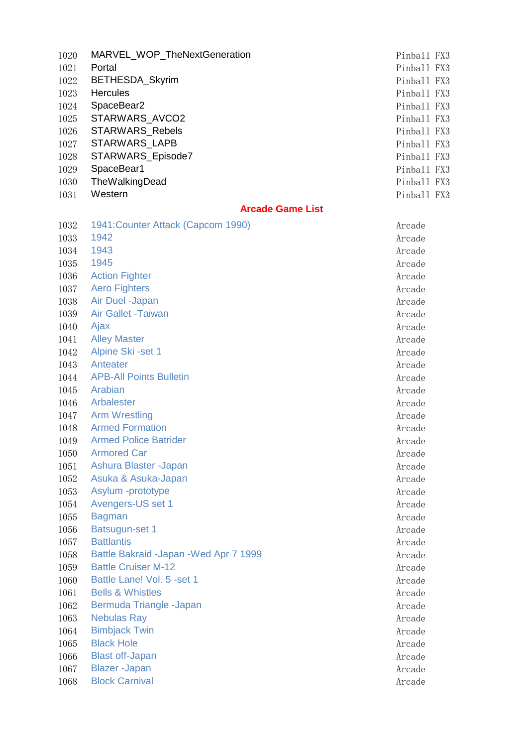| 1020 | MARVEL_WOP_TheNextGeneration | Pinball FX3 |  |
|------|------------------------------|-------------|--|
| 1021 | Portal                       | Pinball FX3 |  |
| 1022 | BETHESDA_Skyrim              | Pinball FX3 |  |
| 1023 | <b>Hercules</b>              | Pinball FX3 |  |
| 1024 | SpaceBear2                   | Pinball FX3 |  |
| 1025 | STARWARS AVCO2               | Pinball FX3 |  |
| 1026 | <b>STARWARS Rebels</b>       | Pinball FX3 |  |
| 1027 | STARWARS_LAPB                | Pinball FX3 |  |
| 1028 | STARWARS_Episode7            | Pinball FX3 |  |
| 1029 | SpaceBear1                   | Pinball FX3 |  |
| 1030 | TheWalkingDead               | Pinball FX3 |  |
| 1031 | Western                      | Pinball FX3 |  |

## **Arcade Game List**

| 1032 | 1941: Counter Attack (Capcom 1990)      | Arcade |
|------|-----------------------------------------|--------|
| 1033 | 1942                                    | Arcade |
| 1034 | 1943                                    | Arcade |
| 1035 | 1945                                    | Arcade |
| 1036 | <b>Action Fighter</b>                   | Arcade |
| 1037 | <b>Aero Fighters</b>                    | Arcade |
| 1038 | Air Duel -Japan                         | Arcade |
| 1039 | <b>Air Gallet -Taiwan</b>               | Arcade |
| 1040 | Ajax                                    | Arcade |
| 1041 | <b>Alley Master</b>                     | Arcade |
| 1042 | Alpine Ski -set 1                       | Arcade |
| 1043 | Anteater                                | Arcade |
| 1044 | <b>APB-All Points Bulletin</b>          | Arcade |
| 1045 | Arabian                                 | Arcade |
| 1046 | Arbalester                              | Arcade |
| 1047 | <b>Arm Wrestling</b>                    | Arcade |
| 1048 | <b>Armed Formation</b>                  | Arcade |
| 1049 | <b>Armed Police Batrider</b>            | Arcade |
| 1050 | <b>Armored Car</b>                      | Arcade |
| 1051 | Ashura Blaster - Japan                  | Arcade |
| 1052 | Asuka & Asuka-Japan                     | Arcade |
| 1053 | Asylum -prototype                       | Arcade |
| 1054 | Avengers-US set 1                       | Arcade |
| 1055 | <b>Bagman</b>                           | Arcade |
| 1056 | <b>Batsugun-set 1</b>                   | Arcade |
| 1057 | <b>Battlantis</b>                       | Arcade |
| 1058 | Battle Bakraid - Japan - Wed Apr 7 1999 | Arcade |
| 1059 | <b>Battle Cruiser M-12</b>              | Arcade |
| 1060 | Battle Lane! Vol. 5 -set 1              | Arcade |
| 1061 | <b>Bells &amp; Whistles</b>             | Arcade |
| 1062 | Bermuda Triangle -Japan                 | Arcade |
| 1063 | Nebulas Ray                             | Arcade |
| 1064 | <b>Bimbjack Twin</b>                    | Arcade |
| 1065 | <b>Black Hole</b>                       | Arcade |
| 1066 | <b>Blast off-Japan</b>                  | Arcade |
| 1067 | <b>Blazer</b> - Japan                   | Arcade |
| 1068 | <b>Block Carnival</b>                   | Arcade |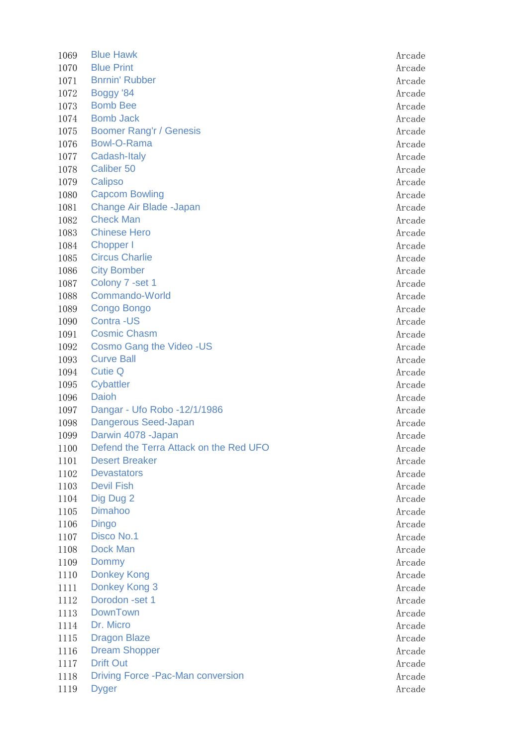| 1069 | <b>Blue Hawk</b>                          | Arcade |
|------|-------------------------------------------|--------|
| 1070 | <b>Blue Print</b>                         | Arcade |
| 1071 | <b>Bnrnin' Rubber</b>                     | Arcade |
| 1072 | Boggy '84                                 | Arcade |
| 1073 | <b>Bomb Bee</b>                           | Arcade |
| 1074 | <b>Bomb Jack</b>                          | Arcade |
| 1075 | <b>Boomer Rang'r / Genesis</b>            | Arcade |
| 1076 | Bowl-O-Rama                               | Arcade |
| 1077 | <b>Cadash-Italy</b>                       | Arcade |
| 1078 | Caliber 50                                | Arcade |
| 1079 | Calipso                                   | Arcade |
| 1080 | <b>Capcom Bowling</b>                     | Arcade |
| 1081 | Change Air Blade -Japan                   | Arcade |
| 1082 | <b>Check Man</b>                          | Arcade |
| 1083 | <b>Chinese Hero</b>                       | Arcade |
| 1084 | Chopper I                                 | Arcade |
| 1085 | <b>Circus Charlie</b>                     | Arcade |
| 1086 | <b>City Bomber</b>                        | Arcade |
| 1087 | Colony 7 - set 1                          | Arcade |
| 1088 | <b>Commando-World</b>                     | Arcade |
| 1089 | Congo Bongo                               | Arcade |
| 1090 | Contra -US                                | Arcade |
| 1091 | <b>Cosmic Chasm</b>                       | Arcade |
| 1092 | <b>Cosmo Gang the Video -US</b>           | Arcade |
| 1093 | <b>Curve Ball</b>                         | Arcade |
| 1094 | <b>Cutie Q</b>                            | Arcade |
| 1095 | <b>Cybattler</b>                          | Arcade |
| 1096 | <b>Daioh</b>                              | Arcade |
| 1097 | Dangar - Ufo Robo -12/1/1986              | Arcade |
| 1098 | Dangerous Seed-Japan                      | Arcade |
| 1099 | Darwin 4078 - Japan                       | Arcade |
| 1100 | Defend the Terra Attack on the Red UFO    | Arcade |
| 1101 | <b>Desert Breaker</b>                     | Arcade |
| 1102 | <b>Devastators</b>                        | Arcade |
| 1103 | <b>Devil Fish</b>                         | Arcade |
| 1104 | Dig Dug 2                                 | Arcade |
| 1105 | <b>Dimahoo</b>                            | Arcade |
| 1106 | <b>Dingo</b>                              | Arcade |
| 1107 | Disco No.1                                | Arcade |
| 1108 | <b>Dock Man</b>                           | Arcade |
| 1109 | Dommy                                     | Arcade |
| 1110 | <b>Donkey Kong</b>                        | Arcade |
| 1111 | Donkey Kong 3                             | Arcade |
| 1112 | Dorodon - set 1                           | Arcade |
| 1113 | <b>DownTown</b>                           | Arcade |
| 1114 | Dr. Micro                                 | Arcade |
| 1115 | <b>Dragon Blaze</b>                       | Arcade |
| 1116 | <b>Dream Shopper</b>                      | Arcade |
| 1117 | <b>Drift Out</b>                          | Arcade |
| 1118 | <b>Driving Force - Pac-Man conversion</b> | Arcade |
| 1119 | <b>Dyger</b>                              | Arcade |
|      |                                           |        |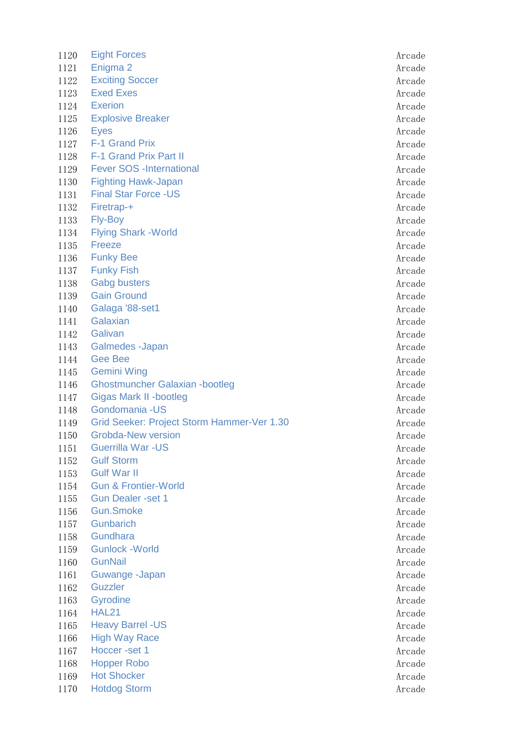1120 Eight Forces **Arcade** 1121 Enigma 2 Arcade and the Second Late of the Second Late and Arcade and Arcade Arcade Arcade Arcade Arcade 1122 Exciting Soccer Arcade 1123 Exed Exes Arcade 1124 Exerion Arcade 1125 Explosive Breaker Arcade 1126 Eyes Arcade 1127 F-1 Grand Prix Arcade 1128 F-1 Grand Prix Part II Arcade and The Arcade Arcade Arcade Arcade Arcade Arcade 1129 Fever SOS -International and a state of the state of the Arcade 1130 Fighting Hawk-Japan **Arcade** Arcade **Arcade** Arcade 1131 Final Star Force -US Arcade Arcade Arcade Arcade Arcade Arcade Arcade Arcade Arcade Arcade Arcade Arcade 1132 Firetrap-+ Arcade 1133 Fly-Boy Arcade 1134 Flying Shark -World Arcade 1135 Freeze Arcade 1136 Funky Bee Arcade 1137 Funky Fish Arcade 1138 Gabg busters **Arcade** 1139 Gain Ground **Arcade** 1140 Galaga '88-set1 Arcade 1141 Galaxian **Arcade** Arcade **Arcade** Arcade Arcade Arcade Arcade Arcade Arcade Arcade Arcade Arcade Arcade Arcade Arcade Arcade Arcade Arcade Arcade Arcade Arcade Arcade Arcade Arcade Arcade Arcade Arcade Arcade Arcade A 1142 Galivan Arcade 1143 Galmedes -Japan Arcade Arcade Arcade Arcade Arcade Arcade Arcade Arcade Arcade Arcade Arcade Arcade Arcade 1144 Gee Bee **Arcade** 1145 Gemini Wing **Arcade** Arcade **Arcade** Arcade Arcade **Arcade** 1146 Ghostmuncher Galaxian -bootleg and a state of the Arcade 1147 Gigas Mark II -bootleg Arcade 1148 Gondomania -US Arcade Arcade Arcade Arcade Arcade Arcade Arcade Arcade Arcade Arcade Arcade Arcade Arcade 1149 Grid Seeker: Project Storm Hammer-Ver 1.30 Arcade 1150 Grobda-New version and the state of the state and the state and the state and the state and the state and the state and the state and the state and the state and the state and the state and the state and the state and 1151 Guerrilla War -US **Arcade** Arcade Arcade Arcade Arcade Arcade Arcade Arcade Arcade Arcade Arcade Arcade Arcade 1152 Gulf Storm Arcade 1153 Gulf War II and the contract of the contract of the contract of the contract of the contract of the contract of the contract of the contract of the contract of the contract of the contract of the contract of the contr 1154 Gun & Frontier-World **Arcade** Arcade **Arcade** 1155 Gun Dealer -set 1 Arcade and 2007 and 2008 and 2008 and 2009 and 2008 and 2009 and 2008 and 2009 and 200 1156 Gun.Smoke **Arcade** Arcade Arcade 1157 Gunbarich Arcade 1158 Gundhara **Arcade** Arcade Arcade Arcade Arcade Arcade Arcade Arcade Arcade Arcade Arcade Arcade Arcade Arcade 1159 Gunlock -World Arcade 1160 GunNail Arcade 1161 Guwange -Japan Arcade 1162 Guzzler Arcade 1163 Gyrodine Arcade 1164 HAL21 Arcade 1165 Heavy Barrel -US **Arcade** Arcade 1166 High Way Race Arcade 1167 Hoccer -set 1 Arcade 1168 Hopper Robo **Arcade** Arcade Arcade Arcade Arcade Arcade Arcade Arcade Arcade Arcade Arcade Arcade Arcade Arcade Arcade Arcade Arcade Arcade Arcade Arcade Arcade Arcade Arcade Arcade Arcade Arcade Arcade Arcade Arcade 1169 Hot Shocker **Arcade** Arcade **Arcade** Arcade **Arcade** 1170 Hotdog Storm **Arcade**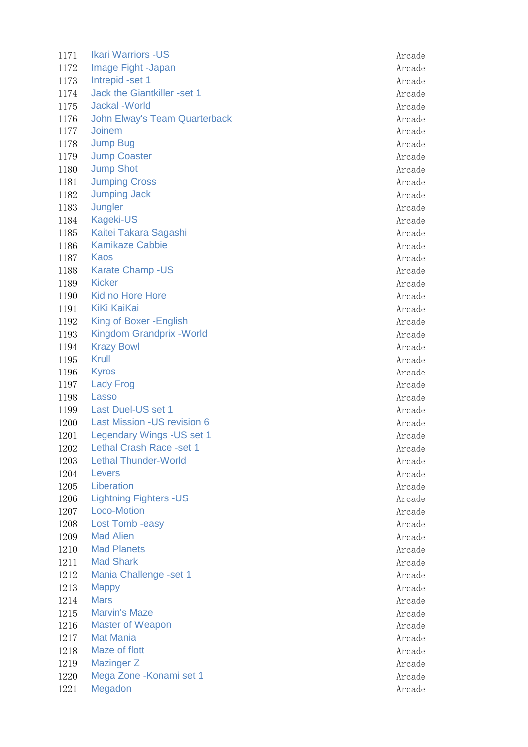1171 Ikari Warriors -US **Arcade** 1172 Image Fight -Japan Arcade Arcade Arcade Arcade Arcade Arcade Arcade Arcade Arcade Arcade Arcade Arcade Arcade Arcade Arcade Arcade Arcade Arcade Arcade Arcade Arcade Arcade Arcade Arcade Arcade Arcade Arcade Arcade Ar 1173 Intrepid -set 1 Arcade 1174 Jack the Giantkiller -set 1 Arcade 1175 Jackal -World **Arcade** 1176 John Elway's Team Quarterback Arcade 1177 Joinem Arcade 1178 Jump Bug and the set of the set of the set of the set of the set of the set of the set of the set of the set of the set of the set of the set of the set of the set of the set of the set of the set of the set of the se 1179 Jump Coaster Arcade 1180 Jump Shot Arcade 1181 Jumping Cross **Arcade** 1182 Jumping Jack **Arcade** 1183 Jungler Arcade 1184 Kageki-US Arcade 1185 Kaitei Takara Sagashi Arcade Arcade Arcade Arcade Arcade 1186 Kamikaze Cabbie **Arcade** Arcade Arcade Arcade Arcade Arcade Arcade Arcade Arcade Arcade Arcade Arcade Arcade 1187 Kaos Arcade 1188 Karate Champ -US Arcade 1189 Kicker Arcade 1190 Kid no Hore Hore **Arcade** 1191 KiKi KaiKai Arcade 1192 King of Boxer -English Arcade 1193 Kingdom Grandprix - World Arcade 1194 Krazy Bowl Arcade 1195 Krull Arcade 1196 Kyros Arcade 1197 Lady Frog **Arcade** Arcade Arcade Arcade Arcade Arcade Arcade Arcade Arcade Arcade Arcade Arcade Arcade Arcade Arcade Arcade Arcade Arcade Arcade Arcade Arcade Arcade Arcade Arcade Arcade Arcade Arcade Arcade Arcade Ar 1198 Lasso Arcade 1199 Last Duel-US set 1 Arcade 2012 199 Arcade 1200 Last Mission -US revision 6 Arcade 1201 Legendary Wings -US set 1 Arcade 1202 Lethal Crash Race -set 1 Arcade 1203 Lethal Thunder-World **Arcade** Arcade **Arcade** Arcade Arcade **Arcade** 1204 Levers Arcade 1205 Liberation Arcade 1206 Lightning Fighters -US Arcade 1207 Loco-Motion Arcade 1208 Lost Tomb -easy Arcade 1209 Mad Alien **Arcade** 1210 Mad Planets **Arcade** Arcade **Arcade** Arcade **Arcade** 1211 Mad Shark Arcade and Shark Arcade and Shark Arcade and Shark Arcade and Shark Arcade and Shark Arcade and 1212 Mania Challenge -set 1 Arcade 2012 12:00 Mania Challenge -set 1 Arcade 1213 Mappy Arcade 1214 Mars Arcade 1215 Marvin's Maze **Arcade** Arcade Arcade Arcade Arcade Arcade Arcade Arcade Arcade Arcade Arcade Arcade Arcade 1216 Master of Weapon Arcade Arcade Arcade Arcade Arcade Arcade Arcade Arcade Arcade Arcade Arcade Arcade Arcade 1217 Mat Mania Arcade and Arcade Arcade and Arcade Arcade Arcade Arcade Arcade Arcade Arcade Arcade Arcade Arcade Arcade Arcade Arcade Arcade Arcade Arcade Arcade Arcade Arcade Arcade Arcade Arcade Arcade Arcade Arcade Arc 1218 Maze of flott **Arcade** 1219 Mazinger Z and Arcade and Arcade and Arcade and Arcade and Arcade and Arcade and Arcade and Arcade and Arcade and Arcade and Arcade and Arcade and Arcade and Arcade and Arcade and Arcade and Arcade and Arcade and Arca 1220 Mega Zone -Konami set 1 Arcade 1221 Megadon Arcade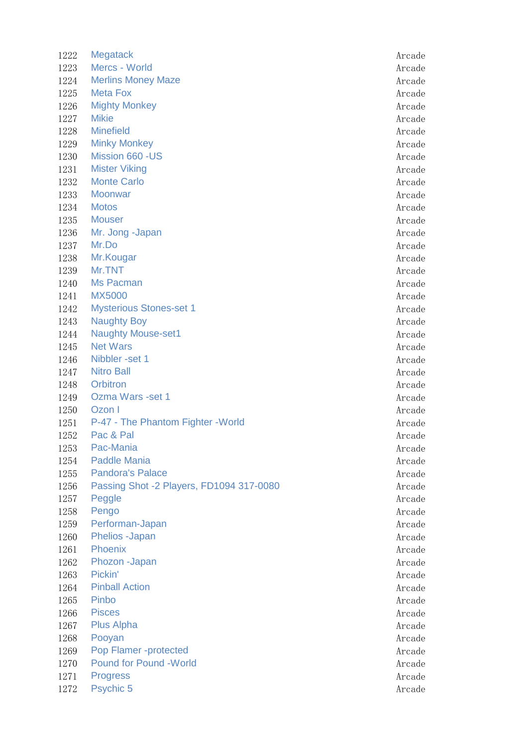1222 Megatack Arcade 1223 Mercs - World Arcade 1224 Merlins Money Maze **Arcade** Arcade 1225 Meta Fox **Arcade** Arcade Arcade Arcade Arcade Arcade Arcade Arcade Arcade Arcade Arcade Arcade Arcade Arcade 1226 Mighty Monkey **Arcade** 1227 Mikie Arcade 1228 Minefield **Arcade** 1229 Minky Monkey **Arcade** Arcade Arcade Arcade Arcade Arcade Arcade Arcade Arcade Arcade Arcade Arcade Arcade Arcade Arcade Arcade Arcade Arcade Arcade Arcade Arcade Arcade Arcade Arcade Arcade Arcade Arcade Arcade Arcade 1230 Mission 660 -US and the state of the state of the state and the state of the state and the state and the state and the state and the state and the state and the state and the state and the state and the state and the 1231 Mister Viking **Arcade** Arcade **Arcade** Arcade **Arcade** 1232 Monte Carlo Arcade 1233 Moonwar and the state of the state of the state of the state and the state of the state of the state of the state of the state of the state of the state of the state of the state of the state of the state of the state 1234 Motos Arcade 1235 Mouser Arcade 1236 Mr. Jong -Japan Arcade 1237 Mr.Do Arcade 1238 Mr. Kougar Arcade and South Arcade and South Arcade Arcade Arcade Arcade Arcade 1239 Mr.TNT Arcade 1240 Ms Pacman Arcade 1241 MX5000 Arcade 1242 Mysterious Stones-set 1 Arcade 1243 Naughty Boy **Arcade** Arcade **Arcade** Arcade Arcade **Arcade** Arcade Arcade Arcade Arcade Arcade Arcade Arcade Arcade Arcade Arcade Arcade Arcade Arcade Arcade Arcade Arcade Arcade Arcade Arcade Arcade Arcade Arcade Arc 1244 Naughty Mouse-set1 **Arcade** Arcade 1245 Net Wars **Arcade** 1246 Nibbler -set 1 Arcade 1247 Nitro Ball **Arcade** 1248 Orbitron Arcade 1249 Ozma Wars -set 1 Arcade 2012 1249 Arcade 1250 Ozon I Arcade 1251 P-47 - The Phantom Fighter -World Arcade 1252 Pac & Pal Arcade and Arcade and Arcade and Arcade and Arcade and Arcade and Arcade and Arcade and Arcade 1253 Pac-Mania Arcade 1254 Paddle Mania Arcade and Arcade Arcade Arcade Arcade Arcade Arcade Arcade Arcade Arcade Arcade Arcade Arcade 1255 Pandora's Palace Arcade Arcade Arcade Arcade Arcade Arcade Arcade Arcade Arcade Arcade Arcade Arcade Arcade 1256 Passing Shot -2 Players, FD1094 317-0080 1257 Peggle Arcade 1258 Pengo Arcade 1259 Performan-Japan Arcade 1260 Phelios -Japan Arcade Arcade Arcade Arcade Arcade Arcade Arcade Arcade Arcade Arcade Arcade Arcade Arcade 1261 Phoenix Arcade 1262 Phozon -Japan Arcade Arcade Arcade Arcade Arcade Arcade Arcade Arcade Arcade Arcade Arcade Arcade Arcade 1263 Pickin' Arcade 1264 Pinball Action **Arcade** 1265 Pinbo Arcade 1266 Pisces Arcade 1267 Plus Alpha **Arcade** 1268 Pooyan Arcade 1269 Pop Flamer -protected Arcade 1270 Pound for Pound -World **Arcade** Arcade Arcade Arcade Arcade Arcade Arcade Arcade 1271 Progress Arcade 1272 Psychic 5 Arcade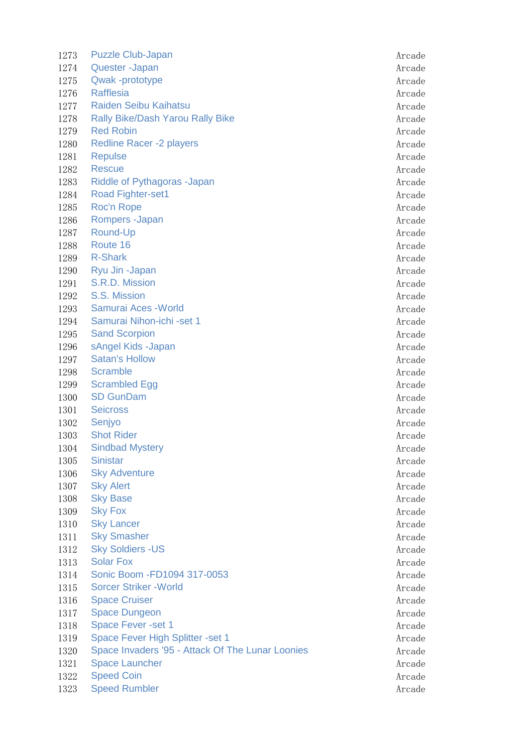1273 Puzzle Club-Japan Arcade Arcade Arcade Arcade Arcade Arcade Arcade Arcade Arcade Arcade Arcade Arcade Arcade Arcade Arcade Arcade Arcade Arcade Arcade Arcade Arcade Arcade Arcade Arcade Arcade Arcade Arcade Arcade Arc 1274 Quester -Japan Arcade 1275 Qwak -prototype Arcade 1276 Rafflesia **Arcade** 1277 Raiden Seibu Kaihatsu Arcade Arcade Arcade Arcade Arcade Arcade Arcade Arcade Arcade Arcade Arcade Arcade 1278 Rally Bike/Dash Yarou Rally Bike Arcade Arcade 1279 Red Robin Arcade 1280 Redline Racer -2 players Arcade Arcade Arcade 1281 Repulse Arcade 1282 Rescue Arcade 1283 Riddle of Pythagoras -Japan Arcade Arcade Arcade Arcade Arcade Arcade Arcade Arcade Arcade Arcade Arcade 1284 Road Fighter-set1 **Arcade Arcade Arcade Arcade Arcade** Arcade Arcade Arcade Arcade 1285 Roc'n Rope **Arcade** Arcade Arcade Arcade Arcade Arcade Arcade Arcade Arcade Arcade Arcade Arcade Arcade Arcade Arcade Arcade Arcade Arcade Arcade Arcade Arcade Arcade Arcade Arcade Arcade Arcade Arcade Arcade Arcade A 1286 Rompers -Japan Arcade 1287 Round-Up **Arcade** 1288 Route 16 Arcade 1289 R-Shark Arcade 1290 Ryu Jin -Japan Arcade Arcade Arcade Arcade Arcade Arcade Arcade Arcade Arcade Arcade Arcade Arcade Arcade 1291 S.R.D. Mission Arcade 1292 S.S. Mission Arcade 1293 Samurai Aces - World Arcade 1294 Samurai Nihon-ichi -set 1 Arcade 1295 Sand Scorpion Arcade and Scorpion Arcade and Scorpion Arcade and Arcade and Arcade Arcade Arcade Arcade Arcade 1296 sAngel Kids -Japan Arcade Arcade Arcade Arcade Arcade Arcade Arcade Arcade Arcade Arcade Arcade Arcade Arcade Arcade Arcade Arcade Arcade Arcade Arcade Arcade Arcade Arcade Arcade Arcade Arcade Arcade Arcade Arcade Ar 1297 Satan's Hollow **Arcade** Arcade Arcade Arcade Arcade Arcade Arcade Arcade Arcade Arcade Arcade Arcade Arcade 1298 Scramble Arcade 1299 Scrambled Egg Arcade 1300 SD GunDam Arcade 1301 Seicross Arcade 1302 Senjyo Arcade 1303 Shot Rider Arcade and the Shot Rider Arcade Arcade Arcade Arcade Arcade Arcade Arcade Arcade Arcade Arcade 1304 Sindbad Mystery **Arcade** Arcade **Arcade** Arcade **Arcade** 1305 Sinistar Arcade 1306 Sky Adventure **Arcade** 1307 Sky Alert Arcade 1308 Sky Base **Arcade** Arcade Arcade Arcade Arcade Arcade Arcade Arcade Arcade Arcade Arcade Arcade Arcade Arcade Arcade Arcade Arcade Arcade Arcade Arcade Arcade Arcade Arcade Arcade Arcade Arcade Arcade Arcade Arcade Arc 1309 Sky Fox Arcade 1310 Sky Lancer Arcade and the Sky Lancer Arcade and the Sky Lancer Arcade and the Sky Lancer Arcade 1311 Sky Smasher Arcade Arcade Arcade Arcade Arcade Arcade Arcade Arcade Arcade Arcade Arcade Arcade Arcade Arcade Arcade Arcade Arcade Arcade Arcade Arcade Arcade Arcade Arcade Arcade Arcade Arcade Arcade Arcade Arcade Ar 1312 Sky Soldiers -US Arcade 1313 Solar Fox Arcade 1314 Sonic Boom -FD1094 317-0053 Arcade 1315 Sorcer Striker - World Arcade 1316 Space Cruiser Arcade 1317 Space Dungeon **Arcade** Arcade Arcade Arcade Arcade Arcade Arcade Arcade Arcade Arcade Arcade Arcade Arcade 1318 Space Fever -set 1 Arcade 1319 Space Fever High Splitter -set 1 Arcade 1320 Space Invaders '95 - Attack Of The Lunar Loonies Arcade 1321 Space Launcher Arcade Arcade Arcade Arcade Arcade Arcade Arcade Arcade Arcade Arcade Arcade Arcade Arcade 1322 Speed Coin and a series of the series of the series of the series of the series of the series of the series of the series of the series of the series of the series of the series of the series of the series of the seri 1323 Speed Rumbler Arcade Arcade Arcade Arcade Arcade Arcade Arcade Arcade Arcade Arcade Arcade Arcade Arcade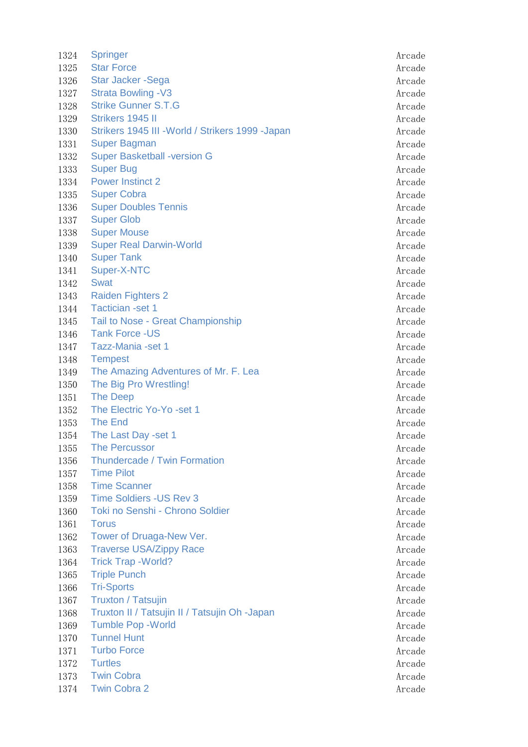| 1324 | <b>Springer</b>                                   | Arcade |
|------|---------------------------------------------------|--------|
| 1325 | <b>Star Force</b>                                 | Arcade |
| 1326 | Star Jacker - Sega                                | Arcade |
| 1327 | <b>Strata Bowling -V3</b>                         | Arcade |
| 1328 | <b>Strike Gunner S.T.G</b>                        | Arcade |
| 1329 | Strikers 1945 II                                  | Arcade |
| 1330 | Strikers 1945 III - World / Strikers 1999 - Japan | Arcade |
| 1331 | <b>Super Bagman</b>                               | Arcade |
| 1332 | <b>Super Basketball -version G</b>                | Arcade |
| 1333 | <b>Super Bug</b>                                  | Arcade |
| 1334 | <b>Power Instinct 2</b>                           | Arcade |
| 1335 | <b>Super Cobra</b>                                | Arcade |
| 1336 | <b>Super Doubles Tennis</b>                       | Arcade |
| 1337 | <b>Super Glob</b>                                 | Arcade |
| 1338 | <b>Super Mouse</b>                                | Arcade |
| 1339 | <b>Super Real Darwin-World</b>                    | Arcade |
| 1340 | <b>Super Tank</b>                                 | Arcade |
| 1341 | Super-X-NTC                                       | Arcade |
| 1342 | <b>Swat</b>                                       | Arcade |
| 1343 | <b>Raiden Fighters 2</b>                          | Arcade |
| 1344 | <b>Tactician -set 1</b>                           | Arcade |
| 1345 | Tail to Nose - Great Championship                 | Arcade |
| 1346 | <b>Tank Force -US</b>                             | Arcade |
| 1347 | Tazz-Mania -set 1                                 | Arcade |
| 1348 | <b>Tempest</b>                                    | Arcade |
| 1349 | The Amazing Adventures of Mr. F. Lea              | Arcade |
| 1350 | The Big Pro Wrestling!                            | Arcade |
| 1351 | <b>The Deep</b>                                   | Arcade |
| 1352 | The Electric Yo-Yo -set 1                         | Arcade |
| 1353 | The End                                           | Arcade |
| 1354 | The Last Day -set 1                               | Arcade |
| 1355 | <b>The Percussor</b>                              | Arcade |
| 1356 | <b>Thundercade / Twin Formation</b>               | Arcade |
| 1357 | <b>Time Pilot</b>                                 | Arcade |
| 1358 | <b>Time Scanner</b>                               | Arcade |
| 1359 | <b>Time Soldiers - US Rev 3</b>                   | Arcade |
| 1360 | Toki no Senshi - Chrono Soldier                   | Arcade |
| 1361 | <b>Torus</b>                                      | Arcade |
| 1362 | Tower of Druaga-New Ver.                          | Arcade |
| 1363 | <b>Traverse USA/Zippy Race</b>                    | Arcade |
| 1364 | <b>Trick Trap - World?</b>                        | Arcade |
| 1365 | <b>Triple Punch</b>                               | Arcade |
| 1366 | <b>Tri-Sports</b>                                 | Arcade |
| 1367 | <b>Truxton / Tatsujin</b>                         | Arcade |
| 1368 | Truxton II / Tatsujin II / Tatsujin Oh -Japan     | Arcade |
| 1369 | <b>Tumble Pop - World</b>                         | Arcade |
| 1370 | <b>Tunnel Hunt</b>                                | Arcade |
| 1371 | <b>Turbo Force</b>                                | Arcade |
| 1372 | <b>Turtles</b>                                    | Arcade |
| 1373 | <b>Twin Cobra</b>                                 | Arcade |
| 1374 | <b>Twin Cobra 2</b>                               | Arcade |
|      |                                                   |        |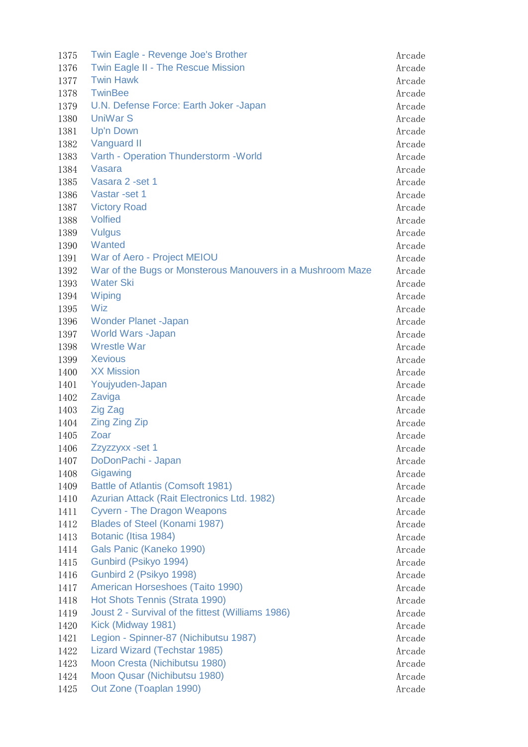| 1375 | Twin Eagle - Revenge Joe's Brother                         | Arcade |
|------|------------------------------------------------------------|--------|
| 1376 | Twin Eagle II - The Rescue Mission                         | Arcade |
| 1377 | <b>Twin Hawk</b>                                           | Arcade |
| 1378 | <b>TwinBee</b>                                             | Arcade |
| 1379 | U.N. Defense Force: Earth Joker -Japan                     | Arcade |
| 1380 | <b>UniWar S</b>                                            | Arcade |
| 1381 | <b>Up'n Down</b>                                           | Arcade |
| 1382 | Vanguard II                                                | Arcade |
| 1383 | Varth - Operation Thunderstorm - World                     | Arcade |
| 1384 | Vasara                                                     | Arcade |
| 1385 | Vasara 2 - set 1                                           | Arcade |
| 1386 | Vastar - set 1                                             | Arcade |
| 1387 | <b>Victory Road</b>                                        | Arcade |
| 1388 | <b>Volfied</b>                                             | Arcade |
| 1389 | <b>Vulgus</b>                                              | Arcade |
| 1390 | Wanted                                                     | Arcade |
| 1391 | War of Aero - Project MEIOU                                | Arcade |
| 1392 | War of the Bugs or Monsterous Manouvers in a Mushroom Maze | Arcade |
| 1393 | <b>Water Ski</b>                                           | Arcade |
| 1394 | Wiping                                                     | Arcade |
| 1395 | Wiz                                                        | Arcade |
| 1396 | <b>Wonder Planet -Japan</b>                                | Arcade |
| 1397 | <b>World Wars -Japan</b>                                   | Arcade |
| 1398 | <b>Wrestle War</b>                                         | Arcade |
| 1399 | <b>Xevious</b>                                             | Arcade |
| 1400 | <b>XX Mission</b>                                          | Arcade |
| 1401 | Youjyuden-Japan                                            | Arcade |
| 1402 | Zaviga                                                     | Arcade |
| 1403 | Zig Zag                                                    | Arcade |
|      |                                                            |        |
| 1404 | <b>Zing Zing Zip</b><br>Zoar                               | Arcade |
| 1405 |                                                            | Arcade |
| 1406 | Zzyzzyxx - set 1                                           | Arcade |
| 1407 | DoDonPachi - Japan                                         | Arcade |
| 1408 | Gigawing                                                   | Arcade |
| 1409 | Battle of Atlantis (Comsoft 1981)                          | Arcade |
| 1410 | Azurian Attack (Rait Electronics Ltd. 1982)                | Arcade |
| 1411 | <b>Cyvern - The Dragon Weapons</b>                         | Arcade |
| 1412 | Blades of Steel (Konami 1987)                              | Arcade |
| 1413 | Botanic (Itisa 1984)                                       | Arcade |
| 1414 | Gals Panic (Kaneko 1990)                                   | Arcade |
| 1415 | Gunbird (Psikyo 1994)                                      | Arcade |
| 1416 | Gunbird 2 (Psikyo 1998)                                    | Arcade |
| 1417 | American Horseshoes (Taito 1990)                           | Arcade |
| 1418 | Hot Shots Tennis (Strata 1990)                             | Arcade |
| 1419 | Joust 2 - Survival of the fittest (Williams 1986)          | Arcade |
| 1420 | Kick (Midway 1981)                                         | Arcade |
| 1421 | Legion - Spinner-87 (Nichibutsu 1987)                      | Arcade |
| 1422 | Lizard Wizard (Techstar 1985)                              | Arcade |
| 1423 | Moon Cresta (Nichibutsu 1980)                              | Arcade |
| 1424 | Moon Qusar (Nichibutsu 1980)                               | Arcade |
| 1425 | Out Zone (Toaplan 1990)                                    | Arcade |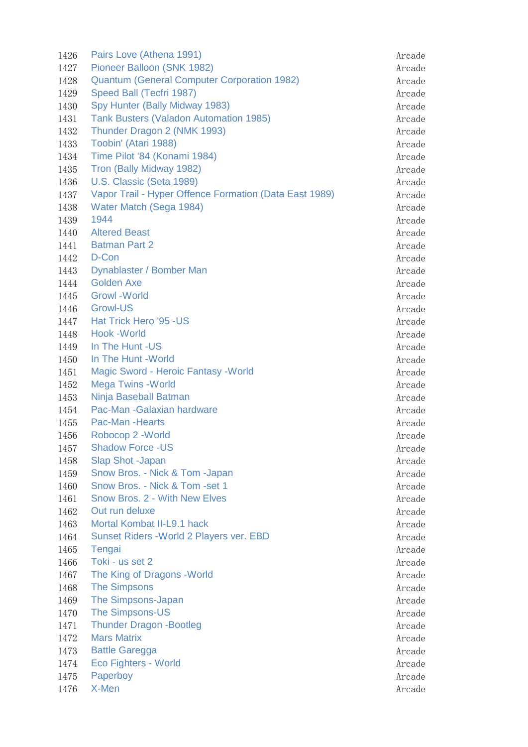| 1426         | Pairs Love (Athena 1991)                               | Arcade           |
|--------------|--------------------------------------------------------|------------------|
| 1427         | Pioneer Balloon (SNK 1982)                             | Arcade           |
| 1428         | <b>Quantum (General Computer Corporation 1982)</b>     | Arcade           |
| 1429         | Speed Ball (Tecfri 1987)                               | Arcade           |
| 1430         | Spy Hunter (Bally Midway 1983)                         | Arcade           |
| 1431         | Tank Busters (Valadon Automation 1985)                 | Arcade           |
| 1432         | Thunder Dragon 2 (NMK 1993)                            | Arcade           |
| 1433         | Toobin' (Atari 1988)                                   | Arcade           |
| 1434         | Time Pilot '84 (Konami 1984)                           | Arcade           |
| 1435         | Tron (Bally Midway 1982)                               | Arcade           |
| 1436         | U.S. Classic (Seta 1989)                               | Arcade           |
| 1437         | Vapor Trail - Hyper Offence Formation (Data East 1989) | Arcade           |
| 1438         | Water Match (Sega 1984)                                | Arcade           |
| 1439         | 1944                                                   | Arcade           |
| 1440         | <b>Altered Beast</b>                                   | Arcade           |
| 1441         | <b>Batman Part 2</b>                                   | Arcade           |
| 1442         | D-Con                                                  | Arcade           |
| 1443         | Dynablaster / Bomber Man                               | Arcade           |
| 1444         | <b>Golden Axe</b>                                      | Arcade           |
| 1445         | <b>Growl</b> - World                                   | Arcade           |
| 1446         | <b>Growl-US</b>                                        | Arcade           |
| 1447         | Hat Trick Hero '95 - US                                | Arcade           |
| 1448         | <b>Hook -World</b>                                     | Arcade           |
| 1449         | In The Hunt -US                                        | Arcade           |
| 1450         | In The Hunt - World                                    | Arcade           |
| 1451         | <b>Magic Sword - Heroic Fantasy - World</b>            | Arcade           |
| 1452         | <b>Mega Twins - World</b>                              | Arcade           |
| 1453         | Ninja Baseball Batman                                  | Arcade           |
| 1454         | Pac-Man -Galaxian hardware                             | Arcade           |
| 1455         | Pac-Man -Hearts                                        | Arcade           |
| 1456         | Robocop 2 - World                                      | Arcade           |
| 1457         | <b>Shadow Force -US</b>                                |                  |
| 1458         | Slap Shot -Japan                                       | Arcade           |
|              | Snow Bros. - Nick & Tom -Japan                         | Arcade           |
| 1459<br>1460 | Snow Bros. - Nick & Tom -set 1                         | Arcade<br>Arcade |
| 1461         | Snow Bros. 2 - With New Elves                          |                  |
| 1462         | Out run deluxe                                         | Arcade<br>Arcade |
| 1463         | Mortal Kombat II-L9.1 hack                             |                  |
|              | Sunset Riders - World 2 Players ver. EBD               | Arcade           |
| 1464         |                                                        | Arcade           |
| 1465         | Tengai<br>Toki - us set 2                              | Arcade           |
| 1466         |                                                        | Arcade           |
| 1467         | The King of Dragons - World                            | Arcade           |
| 1468         | <b>The Simpsons</b>                                    | Arcade           |
| 1469         | The Simpsons-Japan                                     | Arcade           |
| 1470         | The Simpsons-US                                        | Arcade           |
| 1471         | <b>Thunder Dragon -Bootleg</b>                         | Arcade           |
| 1472         | <b>Mars Matrix</b>                                     | Arcade           |
| 1473         | <b>Battle Garegga</b>                                  | Arcade           |
| 1474         | <b>Eco Fighters - World</b>                            | Arcade           |
| 1475         | Paperboy                                               | Arcade           |
| 1476         | X-Men                                                  | Arcade           |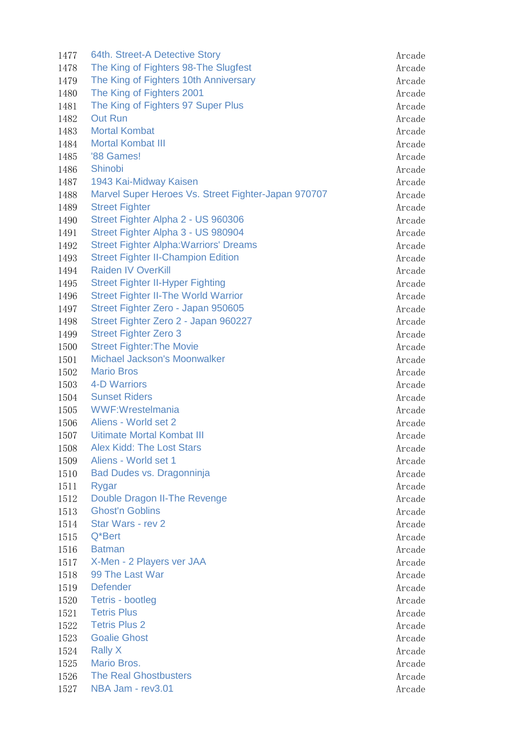1477 64th. Street-A Detective Story Arcade 1478 The King of Fighters 98-The Slugfest **Arcade** Arcade 1479 The King of Fighters 10th Anniversary **Accade** Arcade 1480 The King of Fighters 2001 **Arcade** Arcade Arcade Arcade Arcade 1481 The King of Fighters 97 Super Plus Arcade Arcade 1482 Out Run Arcade 1483 Mortal Kombat Arcade 1484 Mortal Kombat III Arcade and Service and Service and Arcade and Arcade 1485 '88 Games! Arcade and the set of the set of the set of the set of the set of the set of the set of the set of the set of the set of the set of the set of the set of the set of the set of the set of the set of the set 1486 Shinobi Arcade 1487 1943 Kai-Midway Kaisen Arcade Arcade Arcade Arcade Arcade 1488 Marvel Super Heroes Vs. Street Fighter-Japan 970707 1489 Street Fighter Arcade 1490 Street Fighter Alpha 2 - US 960306 Arcade 1491 Street Fighter Alpha 3 - US 980904 Arcade 1492 Street Fighter Alpha: Warriors' Dreams Manual Arcade 1493 Street Fighter II-Champion Edition **Arcade** Arcade 1494 Raiden IV OverKill **Arcade** Arcade Arcade Arcade Arcade Arcade Arcade Arcade Arcade Arcade Arcade Arcade Arcade Arcade Arcade Arcade Arcade Arcade Arcade Arcade Arcade Arcade Arcade Arcade Arcade Arcade Arcade Arcade 1495 Street Fighter II-Hyper Fighting Arcade 1496 Street Fighter II-The World Warrior **Arcade** Arcade 1497 Street Fighter Zero - Japan 950605 1498 Street Fighter Zero 2 - Japan 960227 Arcade 1499 Street Fighter Zero 3 Arcade and The Street Fighter Zero 3 Arcade and The Street Fighter 2012 1500 Street Fighter: The Movie Arcade Arcade Arcade Arcade 1501 Michael Jackson's Moonwalker Arcade Arcade Arcade 1502 Mario Bros Arcade 1503 4-D Warriors **Arcade** 1504 Sunset Riders Arcade Arcade Arcade Arcade Arcade Arcade Arcade Arcade Arcade Arcade Arcade Arcade Arcade 1505 WWF:Wrestelmania Arcade Arcade Arcade Arcade Arcade Arcade Arcade Arcade Arcade 1506 Aliens - World set 2 Arcade 1507 Uitimate Mortal Kombat III Arcade Arcade Arcade 1508 Alex Kidd: The Lost Stars Arcade Arcade Arcade Arcade Arcade Arcade Arcade Arcade Arcade Arcade Arcade Arcade Arcade Arcade Arcade Arcade Arcade Arcade Arcade Arcade Arcade Arcade Arcade Arcade Arcade Arcade Arcade Ar 1509 Aliens - World set 1 Arcade 2012 1509 Arcade 1510 Bad Dudes vs. Dragonninja Arcade 1511 Rygar Arcade 1512 Double Dragon II-The Revenge Arcade 1513 Ghost'n Goblins **Arcade** 1514 Star Wars - rev 2 Arcade 1515 Q\*Bert Arcade 1516 Batman Arcade 1517 X-Men - 2 Players ver JAA Arcade 1518 99 The Last War Arcade and Solid Arcade and Solid Arcade and Arcade and Arcade and Arcade and Arcade and A 1519 Defender Arcade 1520 Tetris - bootleg Arcade 1521 Tetris Plus Arcade 1522 Tetris Plus 2 Arcade 1523 Goalie Ghost **Arcade** Arcade Arcade Arcade Arcade Arcade Arcade Arcade Arcade Arcade Arcade Arcade Arcade 1524 Rally X Arcade 1525 Mario Bros. Arcade 1526 The Real Ghostbusters **Arcade** Arcade Arcade Arcade Arcade Arcade Arcade Arcade Arcade Arcade Arcade Arcade 1527 NBA Jam - rev3.01 and the state of the state of the state of the state of the state of the state of the state of the state of the state of the state of the state of the state of the state of the state of the state of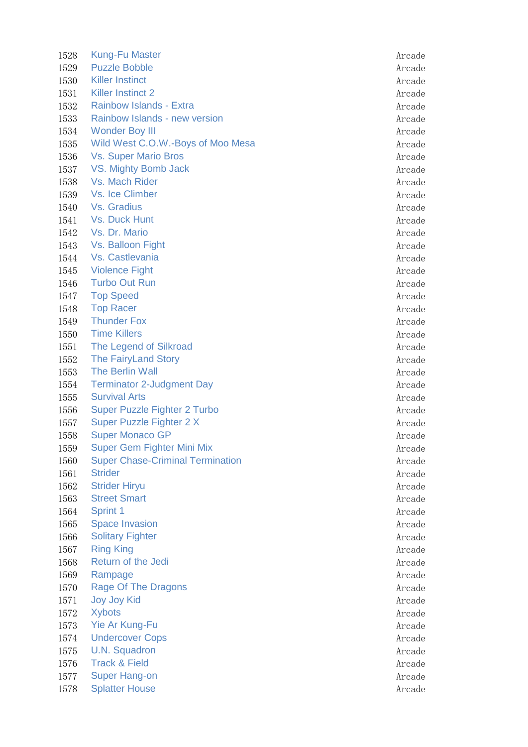1528 Kung-Fu Master Arcade Arcade Arcade Arcade Arcade Arcade Arcade Arcade Arcade Arcade Arcade Arcade Arcade 1529 Puzzle Bobble Arcade 1530 Killer Instinct **Arcade** 1531 Killer Instinct 2 Arcade Arcade Arcade Arcade Arcade Arcade Arcade Arcade Arcade Arcade Arcade Arcade Arcade Arcade Arcade Arcade Arcade Arcade Arcade Arcade Arcade Arcade Arcade Arcade Arcade Arcade Arcade Arcade Arc 1532 Rainbow Islands - Extra Arcade 1533 Rainbow Islands - new version Arcade Arcade Arcade Arcade Arcade Arcade Arcade Arcade Arcade Arcade Arcade 1534 Wonder Boy III and the set of the set of the set of the set of the set of the set of the set of the set of the set of the set of the set of the set of the set of the set of the set of the set of the set of the set of 1535 Wild West C.O.W.-Boys of Moo Mesa **Arcade** Arcade 1536 Vs. Super Mario Bros Arcade Arcade Arcade Arcade Arcade Arcade Arcade Arcade Arcade Arcade Arcade Arcade 1537 VS. Mighty Bomb Jack Arcade Arcade Arcade Arcade Arcade Arcade Arcade Arcade Arcade Arcade Arcade Arcade 1538 Vs. Mach Rider Arcade Arcade Arcade Arcade Arcade Arcade Arcade Arcade Arcade Arcade Arcade Arcade Arcade 1539 Vs. Ice Climber Arcade 1540 Vs. Gradius **Arcade** 1541 Vs. Duck Hunt Arcade 1542 Vs. Dr. Mario Arcade 1543 Vs. Balloon Fight Arcade 1544 Vs. Castlevania **Arcade** Arcade Arcade Arcade Arcade Arcade Arcade Arcade Arcade Arcade Arcade Arcade Arcade 1545 Violence Fight Arcade 1546 Turbo Out Run Arcade 1547 Top Speed Arcade 1548 Top Racer Arcade 1549 Thunder Fox **Arcade** Arcade Arcade Arcade Arcade Arcade Arcade Arcade Arcade Arcade Arcade Arcade Arcade Arcade Arcade Arcade Arcade Arcade Arcade Arcade Arcade Arcade Arcade Arcade Arcade Arcade Arcade Arcade Arcade 1550 Time Killers **Arcade** 1551 The Legend of Silkroad **Arcade** Arcade Arcade Arcade Arcade Arcade Arcade Arcade Arcade Arcade Arcade Arcade 1552 The FairyLand Story **Arcade** Arcade 1553 The Berlin Wall **Arcade** 1554 Terminator 2-Judgment Day **Arcade** Arcade 1555 Survival Arts Arcade and Survival Arts Arcade and Survival Arcade and Survival Arcade and Survival Arcade 1556 Super Puzzle Fighter 2 Turbo **Arcade** Arcade 1557 Super Puzzle Fighter 2 X Arcade 1558 Super Monaco GP Arcade and Super Monaco GP Arcade Arcade Arcade Arcade Arcade Arcade Arcade Arcade Arcade 1559 Super Gem Fighter Mini Mix **Arcade** Arcade 1560 Super Chase-Criminal Termination and Arcade Arcade 1561 Strider Arcade 1562 Strider Hiryu Arcade 1563 Street Smart Arcade 1564 Sprint 1 Arcade 1565 Space Invasion **Arcade** 1566 Solitary Fighter Arcade Arcade Arcade Arcade Arcade Arcade Arcade Arcade Arcade Arcade Arcade Arcade Arcade 1567 Ring King Arcade and the studies of the studies of the studies of the studies of the studies of the studies of the studies of the studies of the studies of the studies of the studies of the studies of the studies of t 1568 Return of the Jedi Arcade Arcade Arcade Arcade Arcade Arcade Arcade Arcade Arcade Arcade Arcade Arcade Arcade Arcade Arcade Arcade Arcade Arcade Arcade Arcade Arcade Arcade Arcade Arcade Arcade Arcade Arcade Arcade Ar 1569 Rampage Arcade Arcade Arcade Arcade Arcade Arcade Arcade Arcade Arcade Arcade Arcade Arcade Arcade Arcade 1570 Rage Of The Dragons **Arcade** Arcade Arcade Arcade Arcade Arcade Arcade Arcade Arcade Arcade Arcade Arcade Arcade Arcade Arcade Arcade Arcade Arcade Arcade Arcade Arcade Arcade Arcade Arcade Arcade Arcade Arcade Arcade 1571 Joy Joy Kid Arcade 1572 Xybots Arcade 1573 Yie Ar Kung-Fu **Arcade** 1574 Undercover Cops and the state of the state and the state and the state and the state and the state and the state and the state and the state and the state and the state and the state and the state and the state and th 1575 U.N. Squadron Arcade 1576 Frack & Field Arcade 1577 Super Hang-on Arcade and Arcade and Arcade and Arcade and Arcade and Arcade and Arcade and Arcade and Arcade and Arcade and Arcade and Arcade and Arcade and Arcade and Arcade and Arcade and Arcade and Arcade and Arcad 1578 Splatter House **Arcade**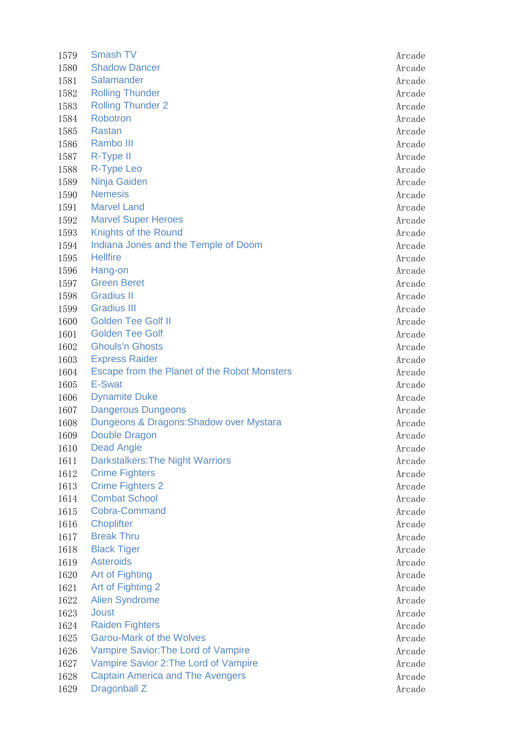1579 Smash TV Arcade 1580 Shadow Dancer Arcade 1581 Salamander Arcade Arcade Arcade Arcade Arcade Arcade Arcade Arcade Arcade Arcade Arcade Arcade Arcade Arcade Arcade Arcade Arcade Arcade Arcade Arcade Arcade Arcade Arcade Arcade Arcade Arcade Arcade Arcade Arcade Arc 1582 Rolling Thunder Arcade and Thunder Arcade Arcade Arcade Arcade Arcade Arcade 1583 Rolling Thunder 2 **Arcade** 1584 Robotron Arcade 1585 Rastan Arcade 1586 Rambo III Arcade 1587 R-Type II and the set of the set of the set of the set of the set of the set of the set of the set of the set of the set of the set of the set of the set of the set of the set of the set of the set of the set of the s 1588 R-Type Leo Arcade 1589 Ninja Gaiden Arcade 1590 Nemesis Arcade 1591 Marvel Land Arcade 1592 Marvel Super Heroes **Arcade** Arcade Arcade Arcade Arcade Arcade Arcade Arcade Arcade Arcade Arcade Arcade Arcade Arcade Arcade Arcade Arcade Arcade Arcade Arcade Arcade Arcade Arcade Arcade Arcade Arcade Arcade Arcade 1593 Knights of the Round **Arcade** Arcade Arcade Arcade Arcade Arcade Arcade Arcade Arcade Arcade Arcade Arcade Arcade Arcade Arcade Arcade Arcade Arcade Arcade Arcade Arcade Arcade Arcade Arcade Arcade Arcade Arcade Arcad 1594 Indiana Jones and the Temple of Doom Arcade 1595 Hellfire Arcade 1596 Hang-on Arcade 1597 Green Beret Arcade 1598 Gradius II Arcade 1599 Gradius III Arcade 1600 Golden Tee Golf II Arcade 1601 Golden Tee Golf Arcade Arcade Arcade Arcade Arcade Arcade Arcade Arcade Arcade Arcade Arcade Arcade Arcade 1602 Ghouls'n Ghosts **Arcade** Arcade **Arcade** Arcade **Arcade** Arcade **Arcade** 1603 Express Raider Arcade and Services and Services and Services and Arcade Arcade 1604 Escape from the Planet of the Robot Monsters The Arcade 1605 E-Swat Arcade 1606 Dynamite Duke Arcade Arcade Arcade Arcade Arcade Arcade Arcade Arcade Arcade Arcade Arcade Arcade Arcade 1607 Dangerous Dungeons **Accade** 1608 Dungeons & Dragons: Shadow over Mystara Arcade 1609 Double Dragon **Arcade** 1610 Dead Angle **Arcade** Arcade **Arcade** Arcade **Arcade** 1611 Darkstalkers: The Night Warriors **Arcade** Arcade 1612 Crime Fighters **Arcade** 1613 Crime Fighters 2 Arcade 1614 Combat School **Arcade** 1615 Cobra-Command Arcade 1616 Choplifter Arcade 1617 Break Thru **Arcade** 1618 Black Tiger Arcade 1619 Asteroids Arcade 1620 Art of Fighting and an arcade and arcade arcade and arcade and arcade arcade and arcade arcade and arcade 1621 Art of Fighting 2 Arcade 1622 Alien Syndrome Arcade Arcade Arcade Arcade Arcade Arcade Arcade Arcade Arcade Arcade Arcade Arcade Arcade 1623 Joust Arcade 1624 Raiden Fighters **Arcade** 1625 Garou-Mark of the Wolves **Arcade** Arcade Arcade Arcade Arcade 1626 Vampire Savior: The Lord of Vampire Arcade Arcade 1627 Vampire Savior 2: The Lord of Vampire Arcade 1628 Captain America and The Avengers **Arcade** Arcade 1629 Dragonball Z Arcade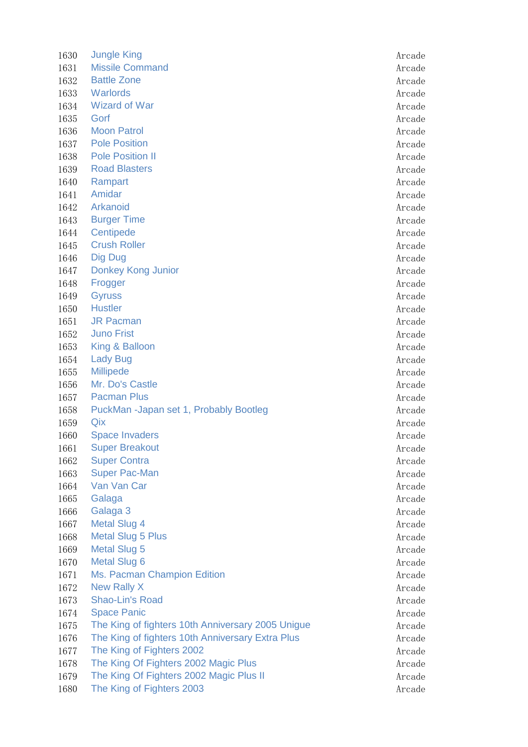1630 Jungle King Arcade 1631 Missile Command Arcade 1632 Battle Zone **Arcade** Arcade Arcade Arcade Arcade Arcade Arcade Arcade Arcade Arcade Arcade Arcade Arcade Arcade Arcade Arcade Arcade Arcade Arcade Arcade Arcade Arcade Arcade Arcade Arcade Arcade Arcade Arcade Arcade 1633 Warlords **Arcade** 1634 Wizard of War Arcade and South Arcade and South Arcade and Arcade and Arcade and Arcade and Arcade and Arcade 1635 Gorf Arcade 1636 Moon Patrol **Arcade** 1637 Pole Position **Arcade** 1638 Pole Position II and the set of the set of the set of the set of the set of the set of the set of the set of the set of the set of the set of the set of the set of the set of the set of the set of the set of the set o 1639 Road Blasters **Arcade** Arcade **Arcade** Arcade **Arcade** 1640 Rampart Arcade 1641 Amidar Arcade 1642 Arkanoid Arcade 1643 Burger Time **Arcade** 1644 Centipede Arcade 1645 Crush Roller **Arcade** 1646 Dig Dug Arcade 1647 Donkey Kong Junior **Arcade** Arcade 1648 Frogger Arcade 1649 Gyruss Arcade 1650 Hustler Arcade 1651 JR Pacman Arcade 1652 Juno Frist Arcade 1653 King & Balloon **Arcade** 1654 Lady Bug **Arcade** Arcade Arcade Arcade Arcade Arcade Arcade Arcade Arcade Arcade Arcade Arcade Arcade Arcade Arcade Arcade Arcade Arcade Arcade Arcade Arcade Arcade Arcade Arcade Arcade Arcade Arcade Arcade Arcade Arc 1655 Millipede Arcade 1656 Mr. Do's Castle Arcade 1657 Pacman Plus Arcade and Arcade Arcade Arcade Arcade Arcade Arcade Arcade Arcade Arcade Arcade Arcade Arcade 1658 PuckMan -Japan set 1, Probably Bootleg Manuscriptus Arcade 1659 Qix Arcade 1660 Space Invaders **Arcade** Arcade Arcade **Arcade** 1661 Super Breakout Arcade Arcade Arcade Arcade Arcade Arcade Arcade Arcade Arcade Arcade Arcade Arcade Arcade 1662 Super Contra **Arcade** Arcade Arcade Arcade Arcade Arcade Arcade Arcade Arcade Arcade Arcade Arcade Arcade Arcade Arcade Arcade Arcade Arcade Arcade Arcade Arcade Arcade Arcade Arcade Arcade Arcade Arcade Arcade Arcade 1663 Super Pac-Man Arcade 1664 Van Van Car Arcade is a verwystelling wordt de aantal van de Arcade is a verwystelling van de Arcade is a verwystelling van de Arcade is a verwystelling van de Arcade is a verwystelling van de Arcade is a verwystellin 1665 Galaga Arcade 1666 Galaga 3 Arcade 1667 Metal Slug 4 Arcade 1668 Metal Slug 5 Plus **Arcade** Arcade Arcade Arcade Arcade Arcade Arcade Arcade Arcade Arcade Arcade Arcade Arcade Arcade Arcade Arcade Arcade Arcade Arcade Arcade Arcade Arcade Arcade Arcade Arcade Arcade Arcade Arcade A 1669 Metal Slug 5 Arcade 1670 Metal Slug 6 **Arcade** Arcade Arcade Arcade Arcade Arcade Arcade Arcade Arcade Arcade Arcade Arcade Arcade Arcade Arcade Arcade Arcade Arcade Arcade Arcade Arcade Arcade Arcade Arcade Arcade Arcade Arcade Arcade Arcade 1671 Ms. Pacman Champion Edition **According to the Contract According Arcade** 1672 New Rally X and the state of the state of the state of the state of the state of the state of the state of the state of the state of the state of the state of the state of the state of the state of the state of the st 1673 Shao-Lin's Road Arcade Arcade Arcade Arcade Arcade Arcade Arcade Arcade Arcade Arcade Arcade Arcade Arcade 1674 Space Panic **Arcade** Arcade Arcade Arcade Arcade Arcade Arcade Arcade Arcade Arcade Arcade Arcade Arcade Arcade Arcade Arcade Arcade Arcade Arcade Arcade Arcade Arcade Arcade Arcade Arcade Arcade Arcade Arcade Arcade 1675 The King of fighters 10th Anniversary 2005 Unigue Arcade 1676 The King of fighters 10th Anniversary Extra Plus Arcade 1677 The King of Fighters 2002 **Arcade** 1678 The King Of Fighters 2002 Magic Plus **Arcade** Arcade 1679 The King Of Fighters 2002 Magic Plus II Arcade 1680 The King of Fighters 2003 Arcade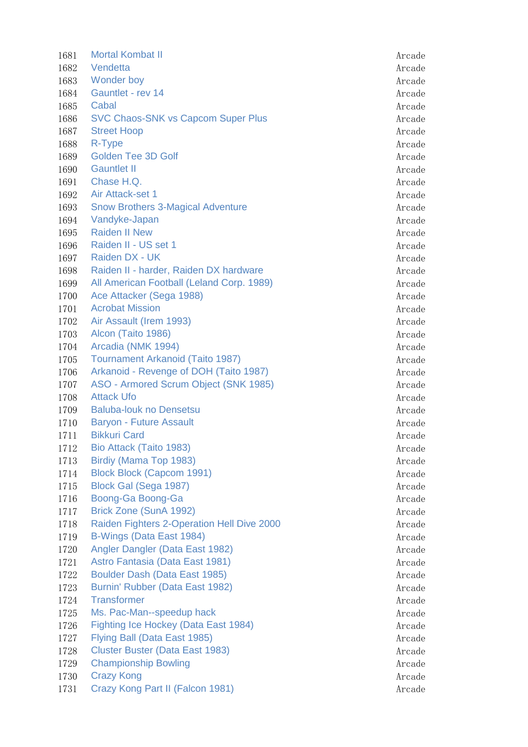1681 Mortal Kombat II Arcade 1682 Vendetta Arcade 1683 Wonder boy Arcade 1684 Gauntlet - rev 14 Arcade 1685 Cabal Arcade 1686 SVC Chaos-SNK vs Capcom Super Plus **Arcade** Arcade 1687 Street Hoop Arcade Arcade Arcade Arcade Arcade Arcade Arcade Arcade Arcade Arcade Arcade Arcade Arcade Arcade Arcade Arcade Arcade Arcade Arcade Arcade Arcade Arcade Arcade Arcade Arcade Arcade Arcade Arcade Arcade Ar 1688 R-Type Arcade 1689 Golden Tee 3D Golf Arcade Arcade Arcade Arcade Arcade Arcade Arcade Arcade Arcade Arcade Arcade Arcade Arcade Arcade Arcade Arcade Arcade Arcade Arcade Arcade Arcade Arcade Arcade Arcade Arcade Arcade Arcade Arcade Ar 1690 Gauntlet II and the set of the set of the set of the set of the set of the set of the set of the set of the set of the set of the set of the set of the set of the set of the set of the set of the set of the set of the 1691 Chase H.Q. Arcade 1692 Air Attack-set 1 Arcade 2012 1692 Arcade 1693 Snow Brothers 3-Magical Adventure **Arcade** Arcade 1694 Vandyke-Japan Arcade 1695 Raiden II New Arcade 1696 Raiden II - US set 1 Arcade 1697 Raiden DX - UK Arcade 1698 Raiden II - harder, Raiden DX hardware **Arcade** Arcade 1699 All American Football (Leland Corp. 1989) Arcade 1700 Ace Attacker (Sega 1988) Arcade 1701 Acrobat Mission **According to the Contract Arcade** Arcade 1702 Air Assault (Irem 1993) Arcade 1703 Alcon (Taito 1986) Arcade 1704 Arcadia (NMK 1994) **Arcade Arcade Arcade Arcade Arcade Arcade Arcade Arcade Arcade Arcade Arcade Arcade Arcade Arcade Arcade Arcade Arcade Arcade Arcade Arcade Arcade Arcade Arcade Arcade Arcade Arcade Arcade Arcade A** 1705 Tournament Arkanoid (Taito 1987) Manual Arcade 1706 Arkanoid - Revenge of DOH (Taito 1987) Manual Arcade 1707 ASO - Armored Scrum Object (SNK 1985) Arcade 1708 Attack Ufo Arcade 1709 Baluba-louk no Densetsu and a series and a series of the Arcade 1710 Baryon - Future Assault **Arcade** Arcade Arcade 1711 Bikkuri Card Arcade 1712 Bio Attack (Taito 1983) Arcade 1713 Birdiy (Mama Top 1983) Arcade 1714 Block Block (Capcom 1991) Arcade 1715 Block Gal (Sega 1987) **Arcade** Arcade Arcade Arcade Arcade Arcade Arcade Arcade Arcade Arcade Arcade Arcade 1716 Boong-Ga Boong-Ga Arcade Arcade Arcade Arcade Arcade Arcade Arcade Arcade Arcade Arcade Arcade Arcade Arcade Arcade Arcade Arcade Arcade Arcade Arcade Arcade Arcade Arcade Arcade Arcade Arcade Arcade Arcade Arcade Arc 1717 Brick Zone (SunA 1992) **Arcade** Arcade Arcade Arcade Arcade Arcade Arcade Arcade Arcade Arcade Arcade Arcade 1718 Raiden Fighters 2-Operation Hell Dive 2000 Arcade 1719 B-Wings (Data East 1984) Arcade 1720 Angler Dangler (Data East 1982) Arcade 1721 Astro Fantasia (Data East 1981) Arcade 1722 Boulder Dash (Data East 1985) Arcade 1723 Burnin' Rubber (Data East 1982) Arcade 1724 Transformer and a series of the series of the series of the series of the series of the series of the series of the series of the series of the series of the series of the series of the series of the series of the ser 1725 Ms. Pac-Man--speedup hack and a state of the Arcade 1726 Fighting Ice Hockey (Data East 1984) **Accade** Arcade 1727 Flying Ball (Data East 1985) Arcade 1728 Cluster Buster (Data East 1983) Arcade 1729 Championship Bowling Arcade Arcade Arcade Arcade Arcade Arcade Arcade Arcade Arcade Arcade Arcade Arcade 1730 Crazy Kong **Arcade** Arcade Arcade Arcade Arcade Arcade Arcade Arcade Arcade Arcade Arcade Arcade Arcade Arcade Arcade Arcade Arcade Arcade Arcade Arcade Arcade Arcade Arcade Arcade Arcade Arcade Arcade Arcade Arcade A 1731 Crazy Kong Part II (Falcon 1981) Arcade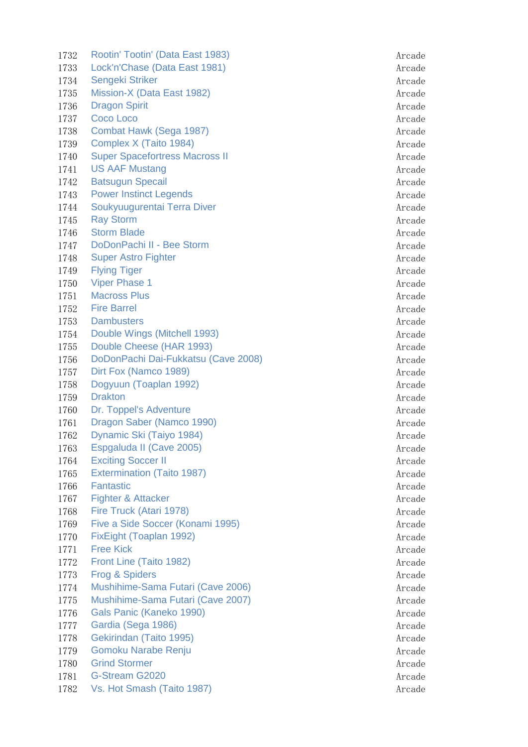1732 Rootin' Tootin' (Data East 1983) Arcade 1733 Lock'n'Chase (Data East 1981) Arcade 1734 Sengeki Striker Arcade Arcade Arcade Arcade Arcade Arcade Arcade Arcade Arcade Arcade Arcade Arcade Arcade 1735 Mission-X (Data East 1982) Arcade 1736 Dragon Spirit Arcade 1737 Coco Loco Arcade 1738 Combat Hawk (Sega 1987) **Arcade** 1739 Complex X (Taito 1984) **Arcade** Arcade **Arcade** Arcade **Arcade** 1740 Super Spacefortress Macross II Arcade 1741 US AAF Mustang Arcade 1742 Batsugun Specail and a structure of the structure of the structure of the structure of the structure of the structure of the structure of the structure of the structure of the structure of the structure of the structu 1743 Power Instinct Legends **Arcade** Arcade **Arcade** 1744 Soukyuugurentai Terra Diver Arcade Arcade Arcade 1745 Ray Storm **Arcade** 1746 Storm Blade **Arcade** Arcade Arcade Arcade Arcade Arcade Arcade Arcade Arcade Arcade Arcade Arcade Arcade Arcade Arcade Arcade Arcade Arcade Arcade Arcade Arcade Arcade Arcade Arcade Arcade Arcade Arcade Arcade Arcade 1747 DoDonPachi II - Bee Storm and a state of the storm and a state and a structure of the storm and a structure of the structure of the structure of the structure of the structure of the structure of the structure of the 1748 Super Astro Fighter Arcade Arcade Arcade Arcade Arcade Arcade Arcade Arcade Arcade Arcade Arcade Arcade A 1749 Flying Tiger Arcade 1750 Viper Phase 1 Arcade 2012 1750 Arcade 1751 Macross Plus **Arcade** 1752 Fire Barrel **Arcade** 1753 Dambusters **Arcade** Arcade Arcade Arcade Arcade Arcade Arcade Arcade Arcade Arcade Arcade Arcade Arcade Arcade Arcade Arcade Arcade Arcade Arcade Arcade Arcade Arcade Arcade Arcade Arcade Arcade Arcade Arcade Arcade A 1754 Double Wings (Mitchell 1993) **Arcade** 1755 Double Cheese (HAR 1993) **Arcade** Arcade 1756 DoDonPachi Dai-Fukkatsu (Cave 2008) Arcade 1757 Dirt Fox (Namco 1989) Arcade 1758 Dogyuun (Toaplan 1992) Arcade 1759 Drakton Arcade 1760 Dr. Toppel's Adventure **Arcade** Arcade Arcade Arcade Arcade Arcade Arcade Arcade Arcade Arcade Arcade Arcade 1761 Dragon Saber (Namco 1990) **Arcade** Arcade Arcade Arcade Arcade Arcade Arcade Arcade Arcade Arcade Arcade Arcade Arcade Arcade Arcade Arcade Arcade Arcade Arcade Arcade Arcade Arcade Arcade Arcade Arcade Arcade Arcade 1762 Dynamic Ski (Taiyo 1984) **Arcade** Arcade Arcade Arcade Arcade Arcade Arcade Arcade Arcade Arcade Arcade Arcade 1763 Espgaluda II (Cave 2005) Arcade 1764 Exciting Soccer II Arcade 1765 Extermination (Taito 1987) Arcade 1766 Fantastic Arcade 1767 Fighter & Attacker Arcade Arcade Arcade Arcade Arcade Arcade Arcade Arcade Arcade Arcade Arcade Arcade Arcade Arcade Arcade Arcade Arcade Arcade Arcade Arcade Arcade Arcade Arcade Arcade Arcade Arcade Arcade Arcade Ar 1768 Fire Truck (Atari 1978) Arcade 1769 Five a Side Soccer (Konami 1995) Arcade 1770 FixEight (Toaplan 1992) Arcade 1771 Free Kick **Arcade** 1772 Front Line (Taito 1982) **Arcade** Arcade Arcade Arcade Arcade Arcade Arcade Arcade Arcade Arcade Arcade Arcade 1773 Frog & Spiders Arcade 1774 Mushihime-Sama Futari (Cave 2006) Arcade 1775 Mushihime-Sama Futari (Cave 2007) Arcade 1776 Gals Panic (Kaneko 1990) Arcade 1777 Gardia (Sega 1986) **Arcade** Arcade 1778 Gekirindan (Taito 1995) Marcade 1779 Gomoku Narabe Renju Arcade Arcade Arcade Arcade Arcade Arcade Arcade Arcade Arcade Arcade Arcade Arcade A 1780 Grind Stormer Arcade 1781 G-Stream G2020 **Arcade** Arcade Arcade Arcade Arcade Arcade Arcade Arcade Arcade Arcade Arcade Arcade Arcade 1782 Vs. Hot Smash (Taito 1987) Arcade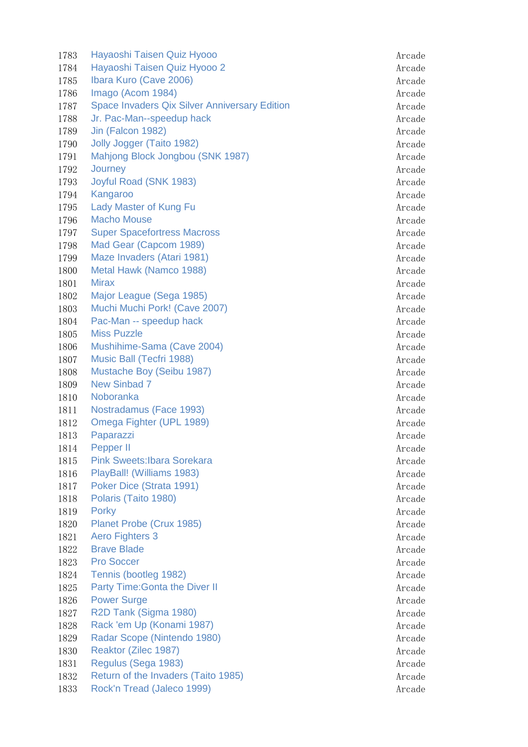1783 Hayaoshi Taisen Quiz Hyooo Arcade Arcade Arcade Arcade Arcade Arcade Arcade Arcade Arcade Arcade Arcade A 1784 Hayaoshi Taisen Quiz Hyooo 2 Arcade 1785 Ibara Kuro (Cave 2006) **Arcade** Arcade 1786 Imago (Acom 1984) **Arcade** Arcade and Arcade Arcade Arcade Arcade Arcade Arcade Arcade Arcade Arcade Arcade 1787 Space Invaders Qix Silver Anniversary Edition Management Arcade 1788 Jr. Pac-Man--speedup hack and a state of the Arcade 1789 Jin (Falcon 1982) **Arcade** 1790 Jolly Jogger (Taito 1982) and the state of the state and the state and the state and the state and the state and the state and the state and the state and the state and the state and the state and the state and the st 1791 Mahjong Block Jongbou (SNK 1987) Mahjong Block Jongbou (SNK 1987) 1792 Journey **Accord Accord Accord Accord Accord Accord Accord Accord Accord Accord Accord Accord Accord Accord Accord Accord Accord Accord Accord Accord Accord Accord Accord Accord Accord Accord Accord Accord Accord Accor** 1793 Joyful Road (SNK 1983) Arcade 1794 Kangaroo Arcade 1795 Lady Master of Kung Fu **Arcade** Arcade Arcade 1796 Macho Mouse Arcade 1797 Super Spacefortress Macross Arcade Arcade Arcade 1798 Mad Gear (Capcom 1989) **Arcade** Arcade Arcade Arcade Arcade Arcade Arcade Arcade Arcade Arcade Arcade Arcade 1799 Maze Invaders (Atari 1981) Arcade 1800 Metal Hawk (Namco 1988) Arcade 1801 Mirax Arcade 1802 Major League (Sega 1985) Manual Arcade 1803 Muchi Muchi Pork! (Cave 2007) Arcade 1804 Pac-Man -- speedup hack and the state of the state and the state are all the state and the state are all the state and the state are all the state and the state are all the state and the state are all the state and th 1805 Miss Puzzle **Arcade** Arcade Arcade Arcade Arcade Arcade Arcade Arcade Arcade Arcade Arcade Arcade Arcade Arcade Arcade Arcade Arcade Arcade Arcade Arcade Arcade Arcade Arcade Arcade Arcade Arcade Arcade Arcade Arcade 1806 Mushihime-Sama (Cave 2004) Arcade 1807 Music Ball (Tecfri 1988) Arcade 1808 Mustache Boy (Seibu 1987) **Arcade** 1809 New Sinbad 7 Arcade 2008 New Sinbad 7 1810 Noboranka Arcade 1811 Nostradamus (Face 1993) Arcade 1812 Omega Fighter (UPL 1989) **Arcade** 1813 Paparazzi Arcade 1814 Pepper II Arcade 1815 Pink Sweets:Ibara Sorekara Arcade Arcade Arcade Arcade Arcade Arcade Arcade Arcade Arcade Arcade Arcade A 1816 PlayBall! (Williams 1983) Arcade 1817 Poker Dice (Strata 1991) Arcade 1818 Polaris (Taito 1980) Arcade 1819 Porky Arcade 1820 Planet Probe (Crux 1985) Arcade 1821 Aero Fighters 3 Arcade 1822 Brave Blade **Arcade** Arcade Arcade Arcade Arcade Arcade Arcade Arcade Arcade Arcade Arcade Arcade Arcade Arcade Arcade Arcade Arcade Arcade Arcade Arcade Arcade Arcade Arcade Arcade Arcade Arcade Arcade Arcade Arcade 1823 Pro Soccer Arcade and the Soccer Arcade and the Soccer Arcade Arcade Arcade Arcade Arcade Arcade Arcade A 1824 Tennis (bootleg 1982) and the state of the state of the state of the state of the state of the state of the state of the state of the state of the state of the state of the state of the state of the state of the state 1825 Party Time: Gonta the Diver II and the Contact of Arcade 1826 Power Surge Arcade 1827 R2D Tank (Sigma 1980) Arcade 1828 Rack 'em Up (Konami 1987) Marcade 1829 Radar Scope (Nintendo 1980) and a series of the Arcade 1830 Reaktor (Zilec 1987) **Arcade** 1831 Regulus (Sega 1983) Arcade 1832 Return of the Invaders (Taito 1985) **Arcade** Arcade 1833 Rock'n Tread (Jaleco 1999) **Arcade** Arcade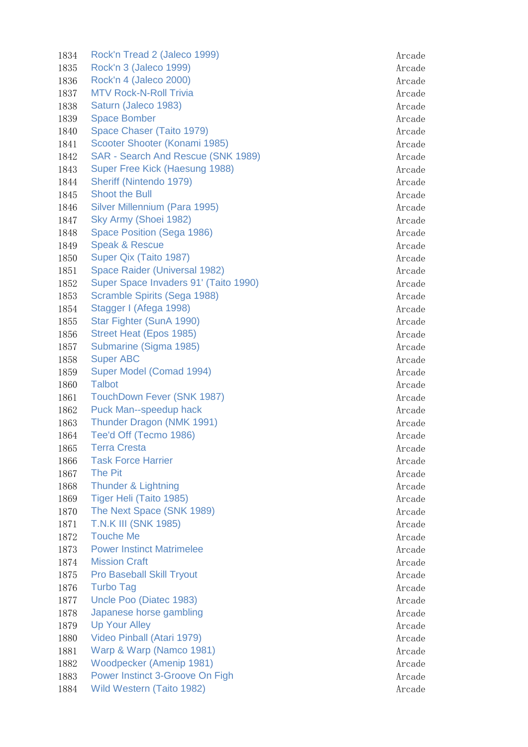1834 Rock'n Tread 2 (Jaleco 1999) Arcade 1835 Rock'n 3 (Jaleco 1999) **Arcade** Arcade Arcade Arcade Arcade Arcade Arcade Arcade Arcade Arcade Arcade Arcade 1836 Rock'n 4 (Jaleco 2000) and the state of the state of the state of the state of the state of the state of the state of the state of the state of the state of the state of the state of the state of the state of the stat 1837 MTV Rock-N-Roll Trivia Arcade Arcade Arcade Arcade Arcade Arcade Arcade Arcade Arcade Arcade Arcade Arcade 1838 Saturn (Jaleco 1983) Arcade and Saturn (Jaleco 1983) 1839 Space Bomber Arcade Arcade Arcade Arcade Arcade Arcade Arcade Arcade Arcade Arcade Arcade Arcade Arcade A 1840 Space Chaser (Taito 1979) **Arcade** 1841 Scooter Shooter (Konami 1985) Arcade 1842 SAR - Search And Rescue (SNK 1989) **Arcade** Arcade 1843 Super Free Kick (Haesung 1988) **Arcade** Arcade 1844 Sheriff (Nintendo 1979) Arcade 1845 Shoot the Bull and the Bull and the Bull and the Bull and the Bull and the Bull and the Bull and the Bull 1846 Silver Millennium (Para 1995) Arcade 1847 Sky Army (Shoei 1982) Arcade 1848 Space Position (Sega 1986) **Accord Accord Arcade** Arcade 1849 Speak & Rescue Arcade Arcade Arcade Arcade Arcade Arcade Arcade Arcade Arcade Arcade Arcade Arcade Arcade 1850 Super Qix (Taito 1987) Arcade 1851 Space Raider (Universal 1982) Arcade 1852 Super Space Invaders 91' (Taito 1990) 31 Arcade 1853 Scramble Spirits (Sega 1988) **Arcade** Arcade 1854 Stagger I (Afega 1998) Arcade 1855 Star Fighter (SunA 1990) Arcade 1856 Street Heat (Epos 1985) 31 Arcade 1857 Submarine (Sigma 1985) Arcade 1858 Super ABC **Arcade** Arcade Arcade Arcade Arcade Arcade Arcade Arcade Arcade Arcade Arcade Arcade Arcade Arcade 1859 Super Model (Comad 1994) **Arcade** Arcade 1860 Talbot Arcade 1861 TouchDown Fever (SNK 1987) Arcade 1862 Puck Man--speedup hack Arcade Arcade 1863 Thunder Dragon (NMK 1991) **Arcade** Arcade 1864 Tee'd Off (Tecmo 1986) Arcade 1865 Terra Cresta Arcade 1866 Task Force Harrier Arcade Arcade Arcade Arcade Arcade Arcade Arcade Arcade Arcade Arcade Arcade Arcade Arcade Arcade Arcade Arcade Arcade Arcade Arcade Arcade Arcade Arcade Arcade Arcade Arcade Arcade Arcade Arcade Ar 1867 The Pit Arcade 1868 Thunder & Lightning **Arcade** Arcade Arcade Arcade Arcade Arcade Arcade Arcade Arcade Arcade Arcade Arcade Arcade Arcade Arcade Arcade Arcade Arcade Arcade Arcade Arcade Arcade Arcade Arcade Arcade Arcade Arcade Arcade 1869 Tiger Heli (Taito 1985) **Arcade** 1870 The Next Space (SNK 1989) Arcade 1871 T.N.K III (SNK 1985) Arcade 1872 Touche Me **Arcade** Arcade Arcade Arcade Arcade Arcade Arcade Arcade Arcade Arcade Arcade Arcade Arcade Arcade Arcade Arcade Arcade Arcade Arcade Arcade Arcade Arcade Arcade Arcade Arcade Arcade Arcade Arcade Arcade Ar 1873 Power Instinct Matrimelee Arcade 1874 Mission Craft Arcade Arcade Arcade Arcade Arcade Arcade Arcade Arcade Arcade Arcade Arcade Arcade Arcade 1875 Pro Baseball Skill Tryout Arcade Arcade Arcade Arcade Arcade 1876 Turbo Tag Arcade and the Second Second Second Arcade Arcade Arcade Arcade Arcade 1877 Uncle Poo (Diatec 1983) Arcade 1878 Japanese horse gambling Arcade Arcade Arcade Arcade Arcade Arcade Arcade Arcade Arcade Arcade Arcade Arcade Arcade Arcade Arcade Arcade Arcade Arcade Arcade Arcade Arcade Arcade Arcade Arcade Arcade Arcade Arcade Arca 1879 Up Your Alley **Arcade** 1880 Video Pinball (Atari 1979) Arcade 1881 Warp & Warp (Namco 1981) Arcade 1882 Woodpecker (Amenip 1981) Arcade 1883 Power Instinct 3-Groove On Figh Arcade Arcade Arcade 1884 Wild Western (Taito 1982) Arcade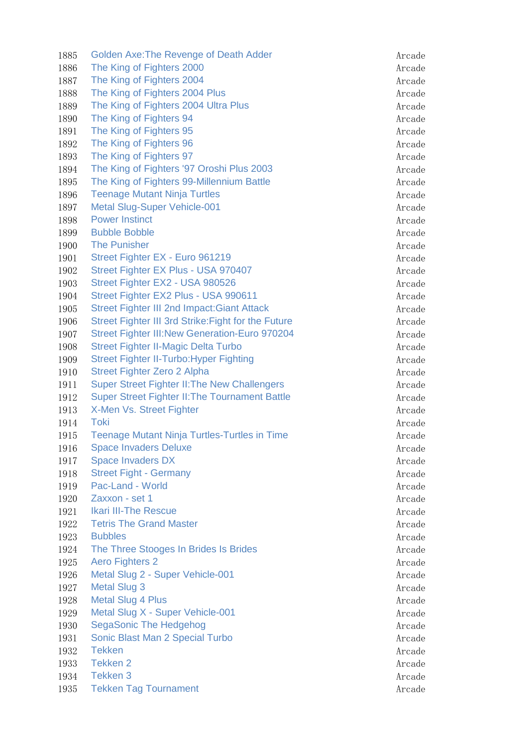1885 Golden Axe: The Revenge of Death Adder Arcade Arcade 1886 The King of Fighters 2000 **Arcade** 1887 The King of Fighters 2004 **Arcade** Arcade Arcade Arcade Arcade 1888 The King of Fighters 2004 Plus and the Contract Arcade 1889 The King of Fighters 2004 Ultra Plus Arcade Arcade 1890 The King of Fighters 94 **Arcade** Arcade 1891 The King of Fighters 95 **Arcade** Arcade 1892 The King of Fighters 96 Arcade Arcade Arcade Arcade Arcade Arcade Arcade Arcade Arcade Arcade Arcade Arcade Arcade Arcade Arcade Arcade Arcade Arcade Arcade Arcade Arcade Arcade Arcade Arcade Arcade Arcade Arcade Arca 1893 The King of Fighters 97 Arcade 1894 The King of Fighters '97 Oroshi Plus 2003 1895 The King of Fighters 99-Millennium Battle Arcade 1896 Teenage Mutant Ninja Turtles Arcade Arcade 1897 Metal Slug-Super Vehicle-001 and the contract of the Arcade 1898 Power Instinct **Arcade** 1899 Bubble Bobble Arcade 1900 The Punisher Arcade 1901 Street Fighter EX - Euro 961219 Arcade 1902 Street Fighter EX Plus - USA 970407 Arcade 1903 Street Fighter EX2 - USA 980526 Arcade 1904 Street Fighter EX2 Plus - USA 990611 Arcade 1905 Street Fighter III 2nd Impact:Giant Attack Arcade 1906 Street Fighter III 3rd Strike: Fight for the Future **Arcade** Arcade 1907 Street Fighter III:New Generation-Euro 970204 Arcade 1908 Street Fighter II-Magic Delta Turbo **Arcade** Arcade 1909 Street Fighter II-Turbo: Hyper Fighting Arcade Arcade 1910 Street Fighter Zero 2 Alpha Arcade 1911 Super Street Fighter II: The New Challengers Arcade 1912 Super Street Fighter II: The Tournament Battle **Accade** Arcade 1913 X-Men Vs. Street Fighter Arcade 1914 Toki Arcade 1915 Teenage Mutant Ninja Turtles-Turtles in Time **Arcade** Arcade 1916 Space Invaders Deluxe Arcade Arcade Arcade 1917 Space Invaders DX Arcade 1918 Street Fight - Germany Arcade Arcade Arcade Arcade Arcade Arcade Arcade Arcade Arcade Arcade Arcade Arcade 1919 Pac-Land - World **Arcade Arcade Arcade** Arcade Arcade Arcade Arcade Arcade Arcade Arcade Arcade Arcade Arcade Arcade Arcade Arcade Arcade Arcade Arcade Arcade Arcade Arcade Arcade Arcade Arcade Arcade Arcade Arcade Ar 1920 Zaxxon - set 1 Arcade 1921 Ikari III-The Rescue Arcade Arcade Arcade 1922 Tetris The Grand Master Arcade Arcade Arcade 1923 Bubbles Arcade 1924 The Three Stooges In Brides Is Brides Arcade 1925 Aero Fighters 2 and 2008 and 2008 and 2008 and 2008 and 2008 and 2008 and 2008 and 2008 and 2008 and 200 1926 Metal Slug 2 - Super Vehicle-001 and the state of the Arcade 1927 Metal Slug 3 Arcade 1928 Metal Slug 4 Plus **Arcade** Arcade Arcade Arcade Arcade Arcade Arcade Arcade Arcade Arcade Arcade Arcade Arcade Arcade Arcade Arcade Arcade Arcade Arcade Arcade Arcade Arcade Arcade Arcade Arcade Arcade Arcade Arcade A 1929 Metal Slug X - Super Vehicle-001 and the state of the Arcade 1930 SegaSonic The Hedgehog Arcade 1931 Sonic Blast Man 2 Special Turbo **Arcade** Arcade 1932 Tekken Arcade 1933 Tekken 2 Arcade and the state of the state and the state and the state and the state and the state and the state and the state and the state and the state and the state and the state and the state and the state and th 1934 Tekken 3 Arcade and the Second Second Second Second Second Second Second Second Second Second Second Second Second Second Second Second Second Second Second Second Second Second Second Second Second Second Second Seco 1935 Tekken Tag Tournament Arcade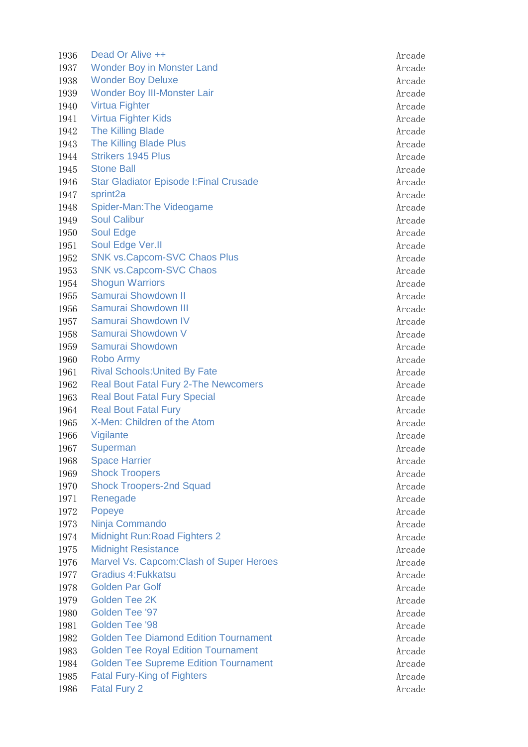| 1936 | Dead Or Alive ++                               | Arcade |
|------|------------------------------------------------|--------|
| 1937 | <b>Wonder Boy in Monster Land</b>              | Arcade |
| 1938 | <b>Wonder Boy Deluxe</b>                       | Arcade |
| 1939 | <b>Wonder Boy III-Monster Lair</b>             | Arcade |
| 1940 | <b>Virtua Fighter</b>                          | Arcade |
| 1941 | <b>Virtua Fighter Kids</b>                     | Arcade |
| 1942 | <b>The Killing Blade</b>                       | Arcade |
| 1943 | <b>The Killing Blade Plus</b>                  | Arcade |
| 1944 | <b>Strikers 1945 Plus</b>                      | Arcade |
| 1945 | <b>Stone Ball</b>                              | Arcade |
| 1946 | <b>Star Gladiator Episode I: Final Crusade</b> | Arcade |
| 1947 | sprint2a                                       | Arcade |
| 1948 | Spider-Man: The Videogame                      | Arcade |
| 1949 | <b>Soul Calibur</b>                            | Arcade |
| 1950 | Soul Edge                                      | Arcade |
| 1951 | Soul Edge Ver.II                               | Arcade |
| 1952 | <b>SNK vs. Capcom-SVC Chaos Plus</b>           | Arcade |
| 1953 | <b>SNK vs.Capcom-SVC Chaos</b>                 | Arcade |
| 1954 | <b>Shogun Warriors</b>                         | Arcade |
| 1955 | Samurai Showdown II                            | Arcade |
| 1956 | Samurai Showdown III                           | Arcade |
| 1957 | Samurai Showdown IV                            | Arcade |
| 1958 | Samurai Showdown V                             | Arcade |
| 1959 | Samurai Showdown                               | Arcade |
| 1960 | <b>Robo Army</b>                               | Arcade |
| 1961 | <b>Rival Schools: United By Fate</b>           | Arcade |
| 1962 | <b>Real Bout Fatal Fury 2-The Newcomers</b>    | Arcade |
| 1963 | <b>Real Bout Fatal Fury Special</b>            | Arcade |
| 1964 | <b>Real Bout Fatal Fury</b>                    | Arcade |
| 1965 | X-Men: Children of the Atom                    | Arcade |
| 1966 | Vigilante                                      | Arcade |
| 1967 | Superman                                       | Arcade |
| 1968 | <b>Space Harrier</b>                           | Arcade |
| 1969 | <b>Shock Troopers</b>                          | Arcade |
| 1970 | <b>Shock Troopers-2nd Squad</b>                | Arcade |
| 1971 | Renegade                                       | Arcade |
| 1972 | Popeye                                         | Arcade |
| 1973 | Ninja Commando                                 | Arcade |
| 1974 | <b>Midnight Run: Road Fighters 2</b>           | Arcade |
| 1975 | <b>Midnight Resistance</b>                     | Arcade |
| 1976 | Marvel Vs. Capcom: Clash of Super Heroes       | Arcade |
| 1977 | <b>Gradius 4: Fukkatsu</b>                     | Arcade |
| 1978 | <b>Golden Par Golf</b>                         | Arcade |
| 1979 | <b>Golden Tee 2K</b>                           | Arcade |
| 1980 | Golden Tee '97                                 | Arcade |
| 1981 | Golden Tee '98                                 | Arcade |
| 1982 | <b>Golden Tee Diamond Edition Tournament</b>   | Arcade |
| 1983 | <b>Golden Tee Royal Edition Tournament</b>     | Arcade |
| 1984 | <b>Golden Tee Supreme Edition Tournament</b>   | Arcade |
| 1985 | <b>Fatal Fury-King of Fighters</b>             | Arcade |
| 1986 | <b>Fatal Fury 2</b>                            | Arcade |